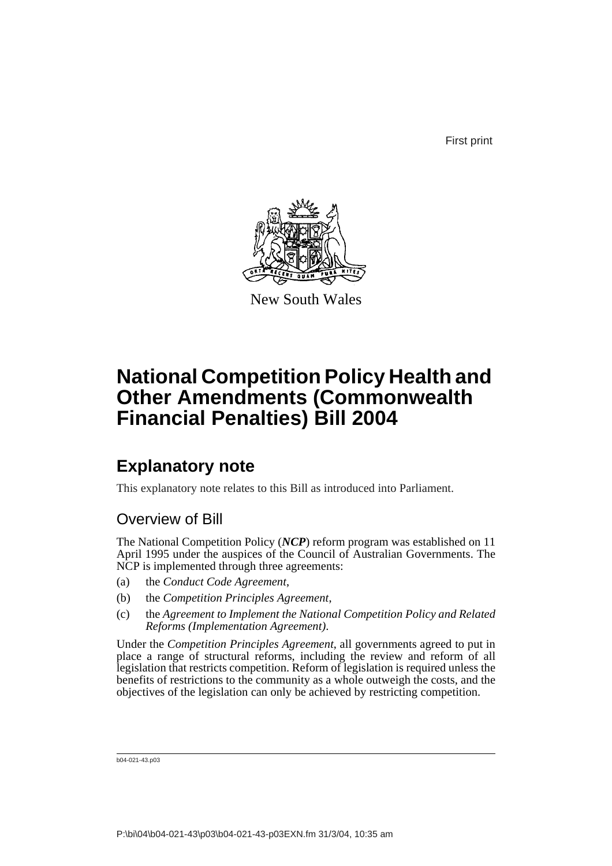First print



New South Wales

# **National Competition Policy Health and Other Amendments (Commonwealth Financial Penalties) Bill 2004**

# **Explanatory note**

This explanatory note relates to this Bill as introduced into Parliament.

## Overview of Bill

The National Competition Policy (*NCP*) reform program was established on 11 April 1995 under the auspices of the Council of Australian Governments. The NCP is implemented through three agreements:

- (a) the *Conduct Code Agreement*,
- (b) the *Competition Principles Agreement*,
- (c) the *Agreement to Implement the National Competition Policy and Related Reforms (Implementation Agreement)*.

Under the *Competition Principles Agreement*, all governments agreed to put in place a range of structural reforms, including the review and reform of all legislation that restricts competition. Reform of legislation is required unless the benefits of restrictions to the community as a whole outweigh the costs, and the objectives of the legislation can only be achieved by restricting competition.

b04-021-43.p03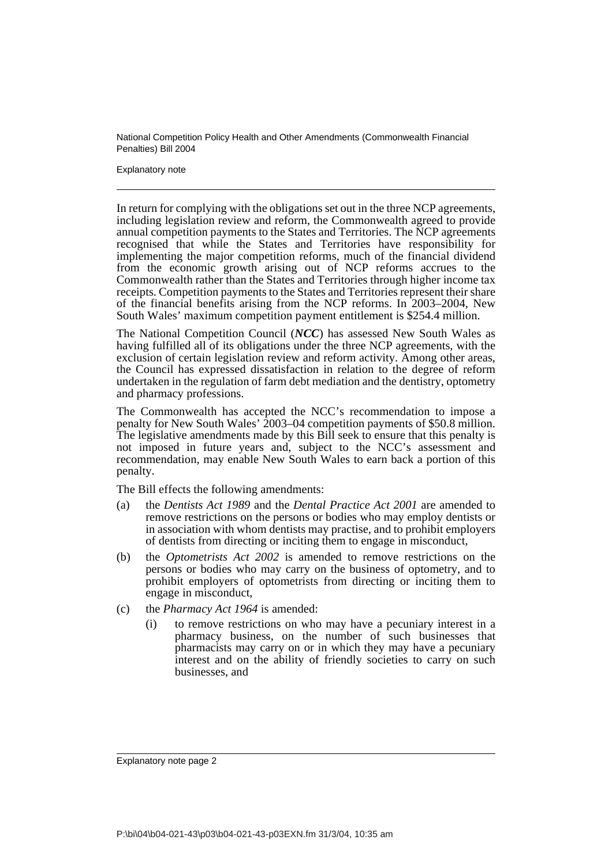Explanatory note

In return for complying with the obligations set out in the three NCP agreements, including legislation review and reform, the Commonwealth agreed to provide annual competition payments to the States and Territories. The NCP agreements recognised that while the States and Territories have responsibility for implementing the major competition reforms, much of the financial dividend from the economic growth arising out of NCP reforms accrues to the Commonwealth rather than the States and Territories through higher income tax receipts. Competition payments to the States and Territories represent their share of the financial benefits arising from the NCP reforms. In 2003–2004, New South Wales' maximum competition payment entitlement is \$254.4 million.

The National Competition Council (*NCC*) has assessed New South Wales as having fulfilled all of its obligations under the three NCP agreements, with the exclusion of certain legislation review and reform activity. Among other areas, the Council has expressed dissatisfaction in relation to the degree of reform undertaken in the regulation of farm debt mediation and the dentistry, optometry and pharmacy professions.

The Commonwealth has accepted the NCC's recommendation to impose a penalty for New South Wales' 2003–04 competition payments of \$50.8 million. The legislative amendments made by this Bill seek to ensure that this penalty is not imposed in future years and, subject to the NCC's assessment and recommendation, may enable New South Wales to earn back a portion of this penalty.

The Bill effects the following amendments:

- (a) the *Dentists Act 1989* and the *Dental Practice Act 2001* are amended to remove restrictions on the persons or bodies who may employ dentists or in association with whom dentists may practise, and to prohibit employers of dentists from directing or inciting them to engage in misconduct,
- (b) the *Optometrists Act 2002* is amended to remove restrictions on the persons or bodies who may carry on the business of optometry, and to prohibit employers of optometrists from directing or inciting them to engage in misconduct,
- (c) the *Pharmacy Act 1964* is amended:
	- (i) to remove restrictions on who may have a pecuniary interest in a pharmacy business, on the number of such businesses that pharmacists may carry on or in which they may have a pecuniary interest and on the ability of friendly societies to carry on such businesses, and

Explanatory note page 2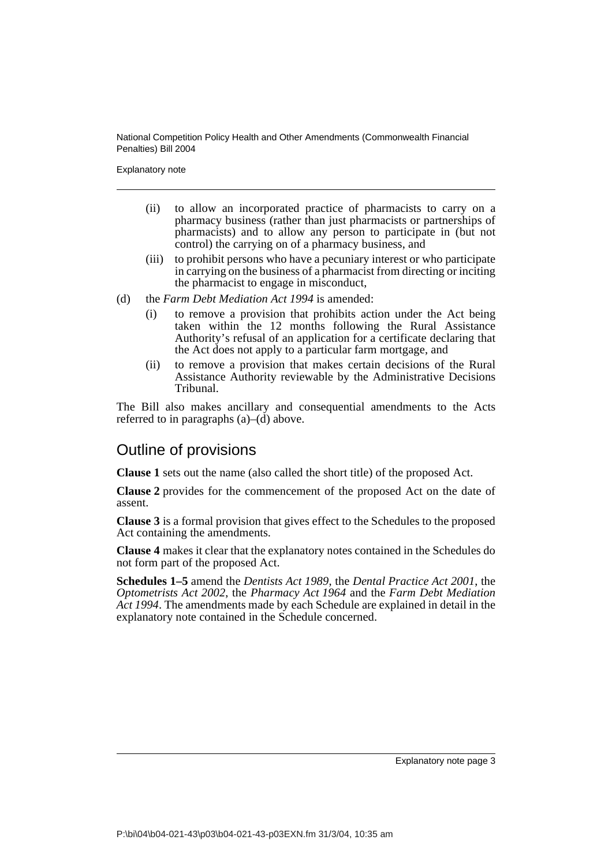Explanatory note

- (ii) to allow an incorporated practice of pharmacists to carry on a pharmacy business (rather than just pharmacists or partnerships of pharmacists) and to allow any person to participate in (but not control) the carrying on of a pharmacy business, and
- (iii) to prohibit persons who have a pecuniary interest or who participate in carrying on the business of a pharmacist from directing or inciting the pharmacist to engage in misconduct,
- (d) the *Farm Debt Mediation Act 1994* is amended:
	- (i) to remove a provision that prohibits action under the Act being taken within the 12 months following the Rural Assistance Authority's refusal of an application for a certificate declaring that the Act does not apply to a particular farm mortgage, and
	- (ii) to remove a provision that makes certain decisions of the Rural Assistance Authority reviewable by the Administrative Decisions Tribunal.

The Bill also makes ancillary and consequential amendments to the Acts referred to in paragraphs (a)–(d) above.

## Outline of provisions

**Clause 1** sets out the name (also called the short title) of the proposed Act.

**Clause 2** provides for the commencement of the proposed Act on the date of assent.

**Clause 3** is a formal provision that gives effect to the Schedules to the proposed Act containing the amendments.

**Clause 4** makes it clear that the explanatory notes contained in the Schedules do not form part of the proposed Act.

**Schedules 1–5** amend the *Dentists Act 1989*, the *Dental Practice Act 2001*, the *Optometrists Act 2002*, the *Pharmacy Act 1964* and the *Farm Debt Mediation Act 1994*. The amendments made by each Schedule are explained in detail in the explanatory note contained in the Schedule concerned.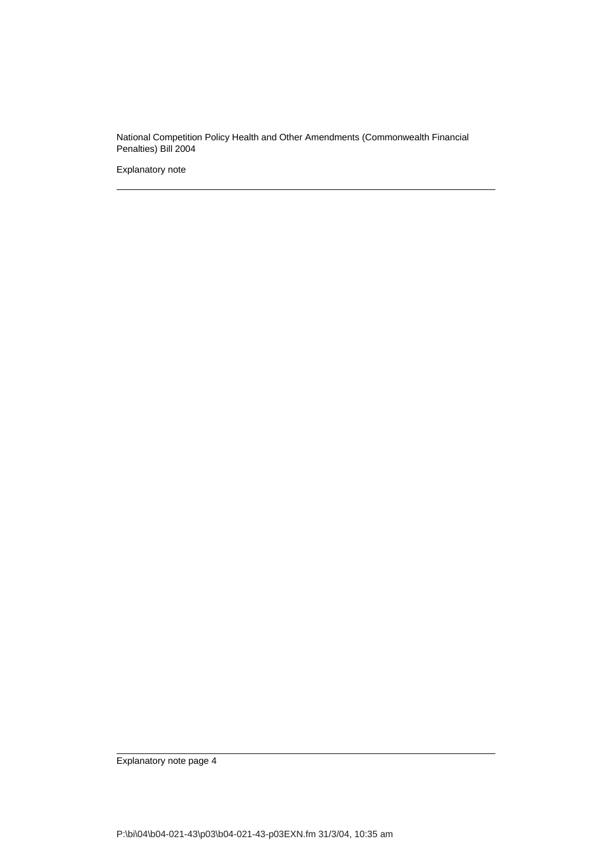Explanatory note

Explanatory note page 4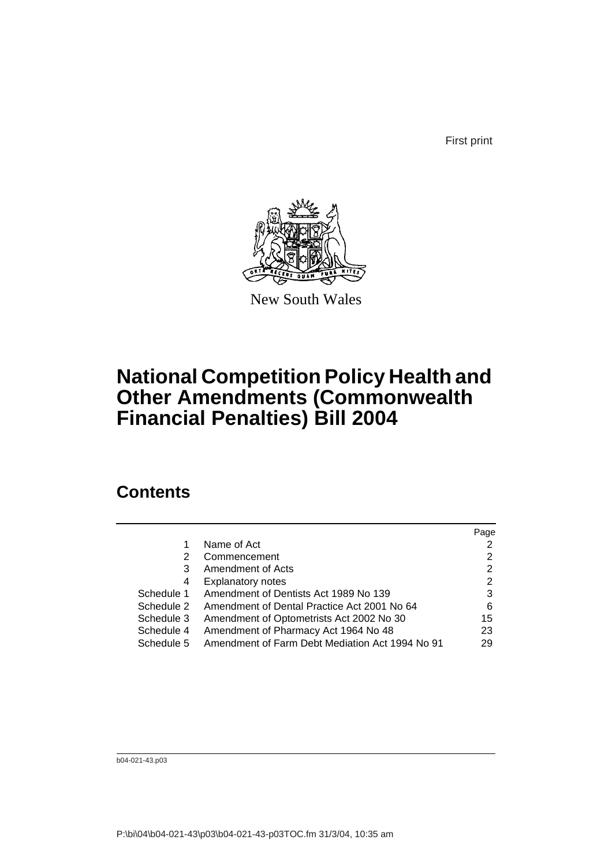First print



New South Wales

# **National Competition Policy Health and Other Amendments (Commonwealth Financial Penalties) Bill 2004**

## **Contents**

|            |                                                 | Page |
|------------|-------------------------------------------------|------|
| 1          | Name of Act                                     | 2    |
| 2          | Commencement                                    | 2    |
| 3          | Amendment of Acts                               | 2    |
| 4          | <b>Explanatory notes</b>                        | 2    |
| Schedule 1 | Amendment of Dentists Act 1989 No 139           | 3    |
| Schedule 2 | Amendment of Dental Practice Act 2001 No 64     | 6    |
| Schedule 3 | Amendment of Optometrists Act 2002 No 30        | 15   |
| Schedule 4 | Amendment of Pharmacy Act 1964 No 48            | 23   |
| Schedule 5 | Amendment of Farm Debt Mediation Act 1994 No 91 | 29   |

b04-021-43.p03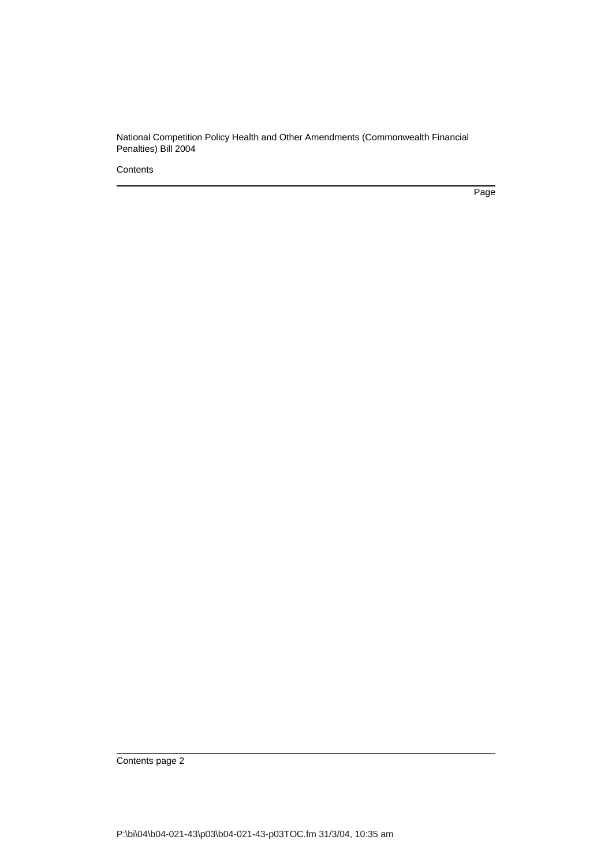**Contents** 

Page

Contents page 2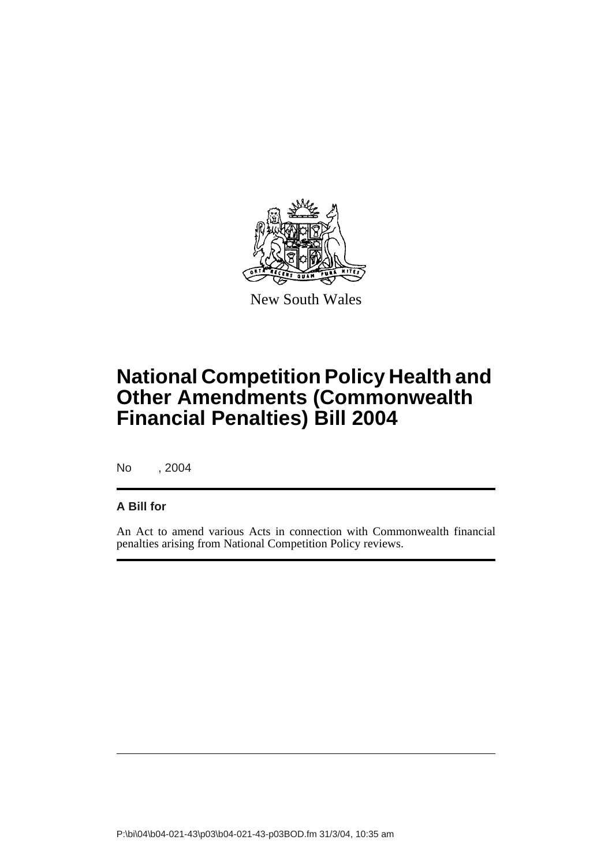

New South Wales

# **National Competition Policy Health and Other Amendments (Commonwealth Financial Penalties) Bill 2004**

No , 2004

## **A Bill for**

An Act to amend various Acts in connection with Commonwealth financial penalties arising from National Competition Policy reviews.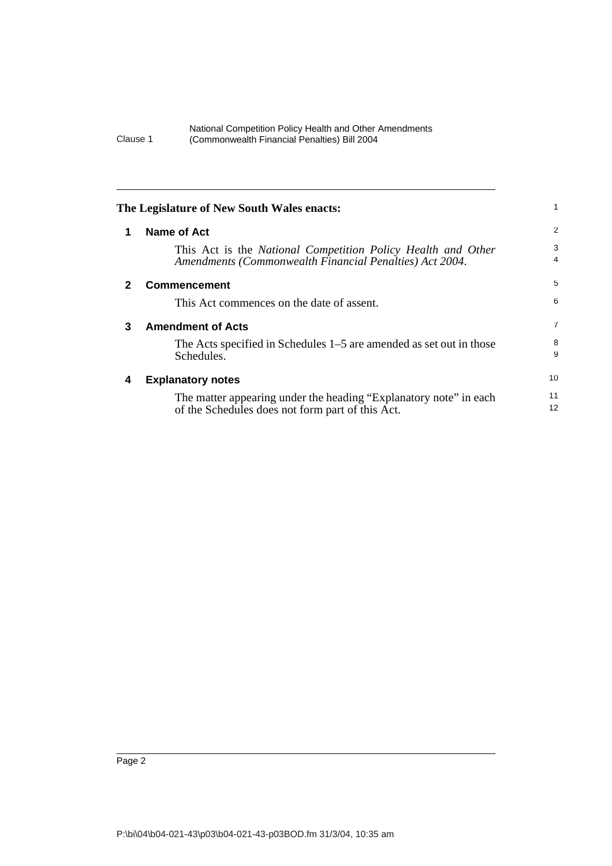|              | The Legislature of New South Wales enacts:                                                                              |                     |
|--------------|-------------------------------------------------------------------------------------------------------------------------|---------------------|
| 1            | Name of Act                                                                                                             | $\overline{2}$      |
|              | This Act is the National Competition Policy Health and Other<br>Amendments (Commonwealth Financial Penalties) Act 2004. | 3<br>$\overline{4}$ |
| $\mathbf{2}$ | <b>Commencement</b>                                                                                                     | 5                   |
|              | This Act commences on the date of assent.                                                                               | 6                   |
| 3            | <b>Amendment of Acts</b>                                                                                                | 7                   |
|              | The Acts specified in Schedules $1-5$ are amended as set out in those<br>Schedules.                                     | 8<br>9              |
| 4            | <b>Explanatory notes</b>                                                                                                | 10                  |
|              | The matter appearing under the heading "Explanatory note" in each<br>of the Schedules does not form part of this Act.   | 11<br>12            |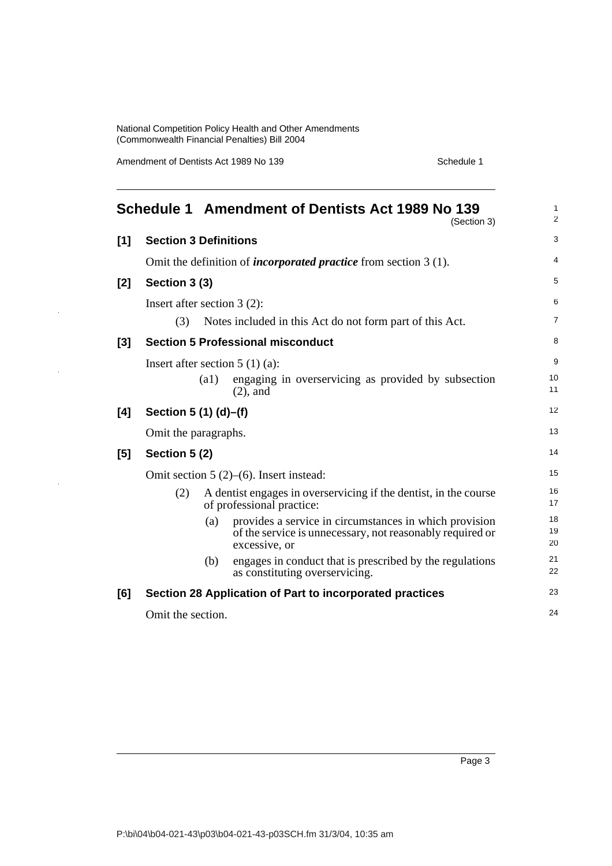Amendment of Dentists Act 1989 No 139 Schedule 1

 $\overline{a}$ 

|       |                               |                    | Schedule 1 Amendment of Dentists Act 1989 No 139<br>(Section 3)                                                                      | $\mathbf{1}$<br>$\overline{2}$ |
|-------|-------------------------------|--------------------|--------------------------------------------------------------------------------------------------------------------------------------|--------------------------------|
| [1]   | <b>Section 3 Definitions</b>  |                    |                                                                                                                                      | 3                              |
|       |                               |                    | Omit the definition of <i>incorporated practice</i> from section $3(1)$ .                                                            | 4                              |
| [2]   | Section 3 (3)                 |                    |                                                                                                                                      | 5                              |
|       | Insert after section $3(2)$ : |                    |                                                                                                                                      | 6                              |
|       | (3)                           |                    | Notes included in this Act do not form part of this Act.                                                                             | $\overline{7}$                 |
| $[3]$ |                               |                    | <b>Section 5 Professional misconduct</b>                                                                                             | 8                              |
|       |                               |                    | Insert after section $5(1)(a)$ :                                                                                                     | 9                              |
|       |                               | $\left( a1\right)$ | engaging in overservicing as provided by subsection<br>$(2)$ , and                                                                   | 10<br>11                       |
| [4]   | Section 5 (1) (d)–(f)         |                    |                                                                                                                                      | 12                             |
|       | Omit the paragraphs.          |                    |                                                                                                                                      | 13                             |
| [5]   | Section 5 (2)                 |                    |                                                                                                                                      | 14                             |
|       |                               |                    | Omit section $5(2)$ –(6). Insert instead:                                                                                            | 15                             |
|       | (2)                           |                    | A dentist engages in overservicing if the dentist, in the course<br>of professional practice:                                        | 16<br>17                       |
|       |                               | (a)                | provides a service in circumstances in which provision<br>of the service is unnecessary, not reasonably required or<br>excessive, or | 18<br>19<br>20                 |
|       |                               | (b)                | engages in conduct that is prescribed by the regulations<br>as constituting overservicing.                                           | 21<br>22                       |
| [6]   |                               |                    | Section 28 Application of Part to incorporated practices                                                                             | 23                             |
|       | Omit the section.             |                    |                                                                                                                                      | 24                             |
|       |                               |                    |                                                                                                                                      |                                |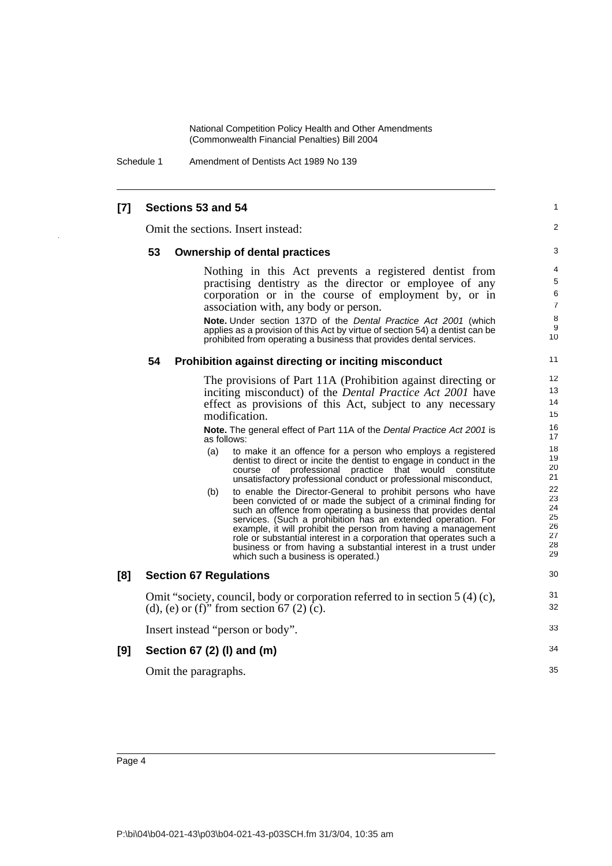Schedule 1 Amendment of Dentists Act 1989 No 139

## **[7] Sections 53 and 54**

Omit the sections. Insert instead:

## **53 Ownership of dental practices**

Nothing in this Act prevents a registered dentist from practising dentistry as the director or employee of any corporation or in the course of employment by, or in association with, any body or person.

1  $\mathfrak{p}$ 

31 32 33

34

35

**Note.** Under section 137D of the *Dental Practice Act 2001* (which applies as a provision of this Act by virtue of section 54) a dentist can be prohibited from operating a business that provides dental services.

## **54 Prohibition against directing or inciting misconduct**

The provisions of Part 11A (Prohibition against directing or inciting misconduct) of the *Dental Practice Act 2001* have effect as provisions of this Act, subject to any necessary modification.

**Note.** The general effect of Part 11A of the *Dental Practice Act 2001* is as follows:

- (a) to make it an offence for a person who employs a registered dentist to direct or incite the dentist to engage in conduct in the course of professional practice that would constitute unsatisfactory professional conduct or professional misconduct,
- (b) to enable the Director-General to prohibit persons who have been convicted of or made the subject of a criminal finding for such an offence from operating a business that provides dental services. (Such a prohibition has an extended operation. For example, it will prohibit the person from having a management role or substantial interest in a corporation that operates such a business or from having a substantial interest in a trust under which such a business is operated.)

### **[8] Section 67 Regulations**

Omit "society, council, body or corporation referred to in section 5 (4) (c), (d), (e) or (f)" from section 67 (2) (c).

Insert instead "person or body".

## **[9] Section 67 (2) (l) and (m)**

Omit the paragraphs.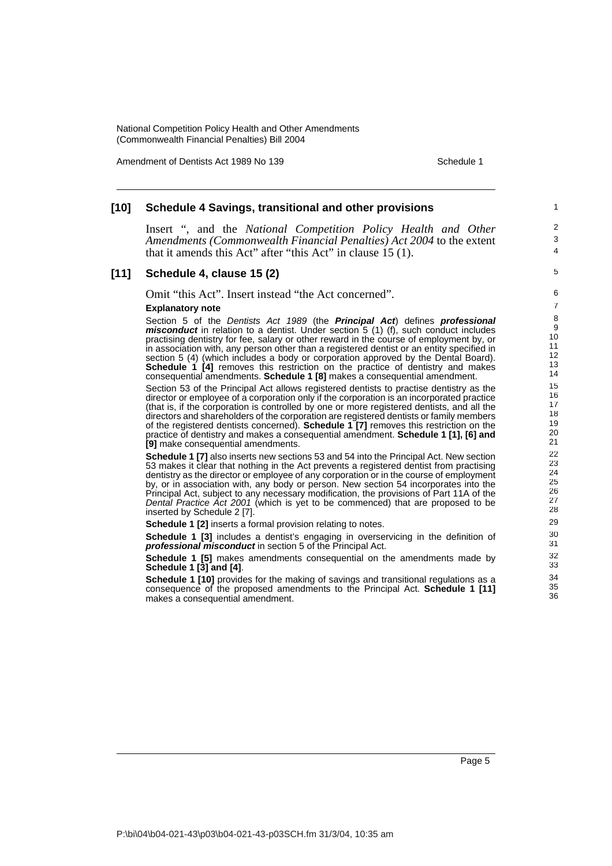Amendment of Dentists Act 1989 No 139 Schedule 1

## **[10] Schedule 4 Savings, transitional and other provisions**

Insert ", and the *National Competition Policy Health and Other Amendments (Commonwealth Financial Penalties) Act 2004* to the extent that it amends this Act" after "this Act" in clause 15 (1).

## **[11] Schedule 4, clause 15 (2)**

Omit "this Act". Insert instead "the Act concerned".

#### **Explanatory note**

Section 5 of the *Dentists Act 1989* (the *Principal Act*) defines *professional misconduct* in relation to a dentist. Under section 5 (1) (f), such conduct includes practising dentistry for fee, salary or other reward in the course of employment by, or in association with, any person other than a registered dentist or an entity specified in section 5 (4) (which includes a body or corporation approved by the Dental Board). **Schedule 1 [4]** removes this restriction on the practice of dentistry and makes consequential amendments. **Schedule 1 [8]** makes a consequential amendment.

Section 53 of the Principal Act allows registered dentists to practise dentistry as the director or employee of a corporation only if the corporation is an incorporated practice (that is, if the corporation is controlled by one or more registered dentists, and all the directors and shareholders of the corporation are registered dentists or family members of the registered dentists concerned). **Schedule 1 [7]** removes this restriction on the practice of dentistry and makes a consequential amendment. **Schedule 1 [1], [6] and [9]** make consequential amendments.

**Schedule 1 [7]** also inserts new sections 53 and 54 into the Principal Act. New section 53 makes it clear that nothing in the Act prevents a registered dentist from practising dentistry as the director or employee of any corporation or in the course of employment by, or in association with, any body or person. New section 54 incorporates into the Principal Act, subject to any necessary modification, the provisions of Part 11A of the *Dental Practice Act 2001* (which is yet to be commenced) that are proposed to be inserted by Schedule 2 [7].

**Schedule 1 [2]** inserts a formal provision relating to notes.

**Schedule 1 [3]** includes a dentist's engaging in overservicing in the definition of *professional misconduct* in section 5 of the Principal Act.

**Schedule 1 [5]** makes amendments consequential on the amendments made by **Schedule 1 [3] and [4]**.

**Schedule 1 [10]** provides for the making of savings and transitional regulations as a consequence of the proposed amendments to the Principal Act. **Schedule 1 [11]** makes a consequential amendment.

1  $\overline{2}$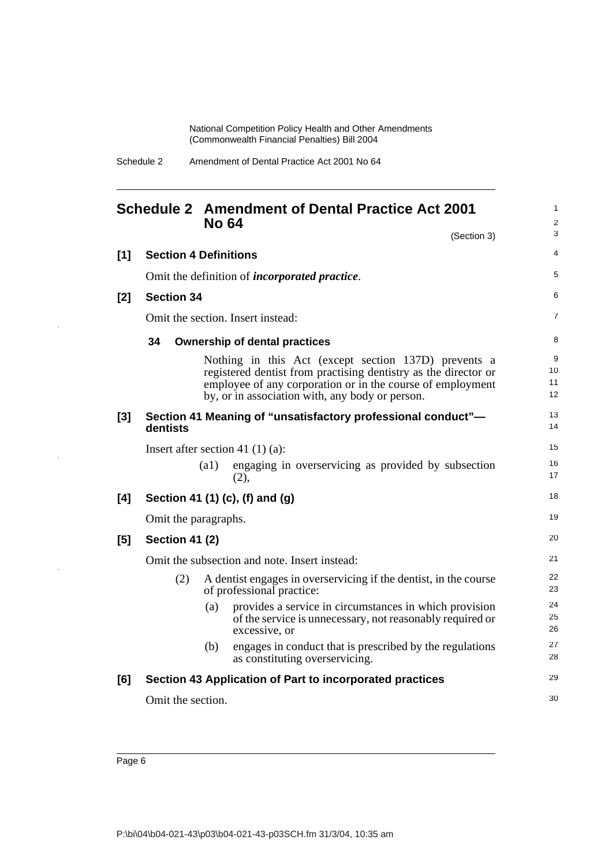Schedule 2 Amendment of Dental Practice Act 2001 No 64

## **Schedule 2 Amendment of Dental Practice Act 2001 No 64** (Section 3) **[1] Section 4 Definitions** Omit the definition of *incorporated practice*. **[2] Section 34**  Omit the section. Insert instead: **34 Ownership of dental practices** Nothing in this Act (except section 137D) prevents a registered dentist from practising dentistry as the director or employee of any corporation or in the course of employment by, or in association with, any body or person. **[3] Section 41 Meaning of "unsatisfactory professional conduct" dentists** Insert after section 41 (1) (a): (a1) engaging in overservicing as provided by subsection (2), **[4] Section 41 (1) (c), (f) and (g)**

5

6

7

13 14

15 16 17

18

19

20

21

26 27 28

29

30

Omit the paragraphs.

## **[5] Section 41 (2)**

Omit the subsection and note. Insert instead:

- (2) A dentist engages in overservicing if the dentist, in the course of professional practice: (a) provides a service in circumstances in which provision of the service is unnecessary, not reasonably required or 22 23 24 25
	- excessive, or (b) engages in conduct that is prescribed by the regulations as constituting overservicing.

## **[6] Section 43 Application of Part to incorporated practices**

Omit the section.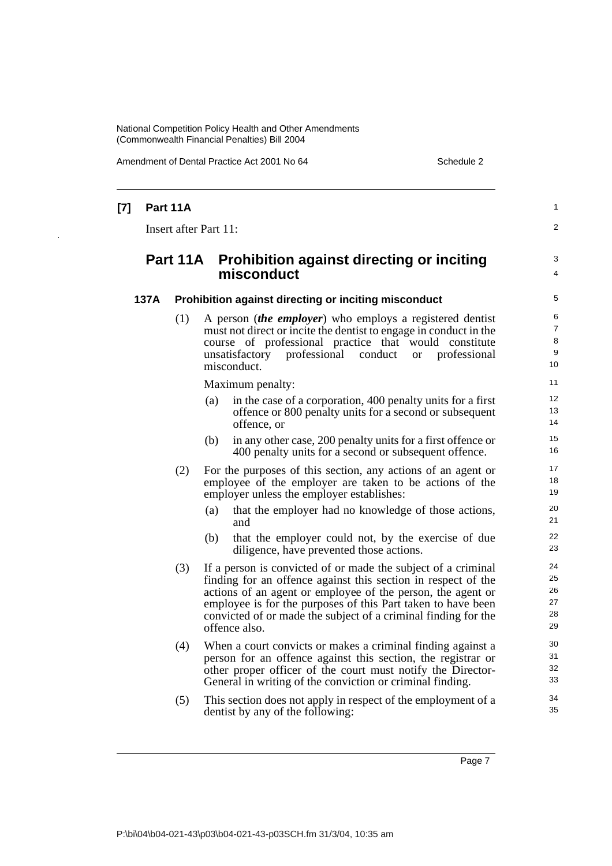Amendment of Dental Practice Act 2001 No 64 Schedule 2

| [7]  | Part 11A |                                                                                                                                                                                                                                                                                                                                                  | 1                                   |
|------|----------|--------------------------------------------------------------------------------------------------------------------------------------------------------------------------------------------------------------------------------------------------------------------------------------------------------------------------------------------------|-------------------------------------|
|      |          | Insert after Part 11:                                                                                                                                                                                                                                                                                                                            | $\overline{a}$                      |
|      | Part 11A | <b>Prohibition against directing or inciting</b><br>misconduct                                                                                                                                                                                                                                                                                   | 3<br>4                              |
| 137A |          | Prohibition against directing or inciting misconduct                                                                                                                                                                                                                                                                                             | 5                                   |
|      | (1)      | A person <i>(the employer)</i> who employs a registered dentist<br>must not direct or incite the dentist to engage in conduct in the<br>course of professional practice that would constitute<br>unsatisfactory professional<br>conduct<br>professional<br><b>or</b><br>misconduct.                                                              | 6<br>$\overline{7}$<br>8<br>9<br>10 |
|      |          | Maximum penalty:                                                                                                                                                                                                                                                                                                                                 | 11                                  |
|      |          | in the case of a corporation, 400 penalty units for a first<br>(a)<br>offence or 800 penalty units for a second or subsequent<br>offence, or                                                                                                                                                                                                     | 12<br>13<br>14                      |
|      |          | in any other case, 200 penalty units for a first offence or<br>(b)<br>400 penalty units for a second or subsequent offence.                                                                                                                                                                                                                      | 15<br>16                            |
|      | (2)      | For the purposes of this section, any actions of an agent or<br>employee of the employer are taken to be actions of the<br>employer unless the employer establishes:                                                                                                                                                                             | 17<br>18<br>19                      |
|      |          | that the employer had no knowledge of those actions,<br>(a)<br>and                                                                                                                                                                                                                                                                               | 20<br>21                            |
|      |          | that the employer could not, by the exercise of due<br>(b)<br>diligence, have prevented those actions.                                                                                                                                                                                                                                           | 22<br>23                            |
|      | (3)      | If a person is convicted of or made the subject of a criminal<br>finding for an offence against this section in respect of the<br>actions of an agent or employee of the person, the agent or<br>employee is for the purposes of this Part taken to have been<br>convicted of or made the subject of a criminal finding for the<br>offence also. | 24<br>25<br>26<br>27<br>28<br>29    |
|      | (4)      | When a court convicts or makes a criminal finding against a<br>person for an offence against this section, the registrar or<br>other proper officer of the court must notify the Director-<br>General in writing of the conviction or criminal finding.                                                                                          | 30<br>31<br>32<br>33                |
|      | (5)      | This section does not apply in respect of the employment of a<br>dentist by any of the following:                                                                                                                                                                                                                                                | 34<br>35                            |
|      |          |                                                                                                                                                                                                                                                                                                                                                  |                                     |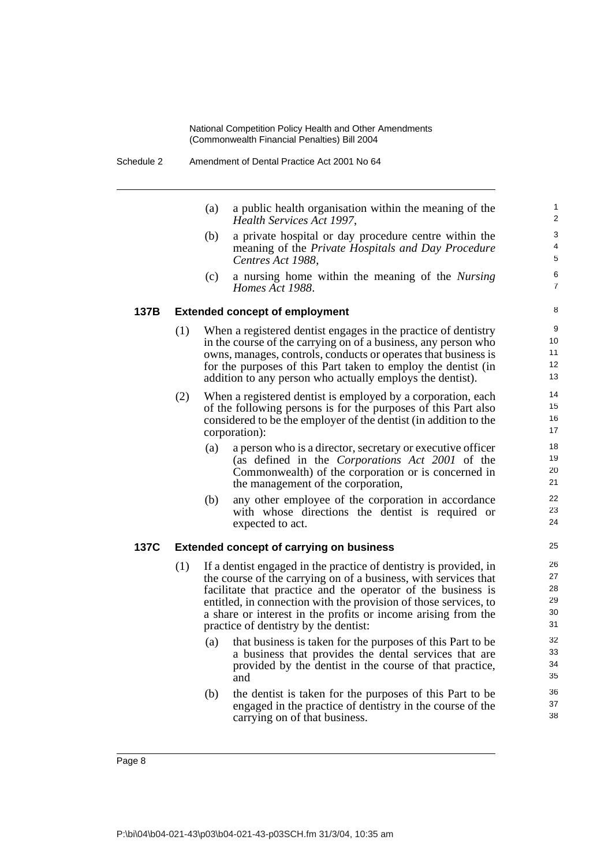(a) a public health organisation within the meaning of the *Health Services Act 1997*,

- (b) a private hospital or day procedure centre within the meaning of the *Private Hospitals and Day Procedure Centres Act 1988*,
- (c) a nursing home within the meaning of the *Nursing Homes Act 1988*.

## **137B Extended concept of employment**

- (1) When a registered dentist engages in the practice of dentistry in the course of the carrying on of a business, any person who owns, manages, controls, conducts or operates that business is for the purposes of this Part taken to employ the dentist (in addition to any person who actually employs the dentist).
- (2) When a registered dentist is employed by a corporation, each of the following persons is for the purposes of this Part also considered to be the employer of the dentist (in addition to the corporation):
	- (a) a person who is a director, secretary or executive officer (as defined in the *Corporations Act 2001* of the Commonwealth) of the corporation or is concerned in the management of the corporation,
	- (b) any other employee of the corporation in accordance with whose directions the dentist is required or expected to act.

## **137C Extended concept of carrying on business**

- (1) If a dentist engaged in the practice of dentistry is provided, in the course of the carrying on of a business, with services that facilitate that practice and the operator of the business is entitled, in connection with the provision of those services, to a share or interest in the profits or income arising from the practice of dentistry by the dentist:
	- (a) that business is taken for the purposes of this Part to be a business that provides the dental services that are provided by the dentist in the course of that practice, and
	- (b) the dentist is taken for the purposes of this Part to be engaged in the practice of dentistry in the course of the carrying on of that business.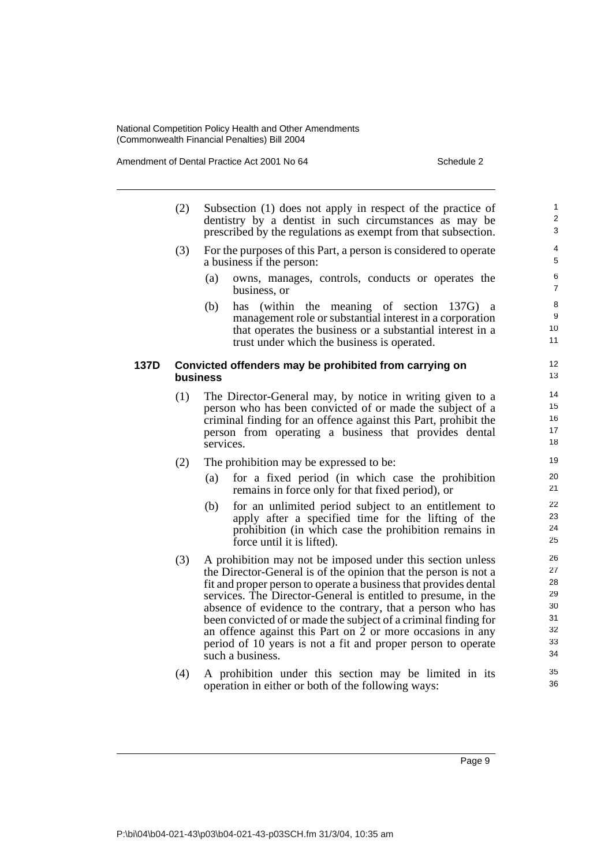Amendment of Dental Practice Act 2001 No 64 Schedule 2

|      | (2) | Subsection (1) does not apply in respect of the practice of<br>dentistry by a dentist in such circumstances as may be<br>prescribed by the regulations as exempt from that subsection.                                                                                                                                                                                                                                                                                                                                                                | $\mathbf{1}$<br>$\overline{2}$<br>3                |
|------|-----|-------------------------------------------------------------------------------------------------------------------------------------------------------------------------------------------------------------------------------------------------------------------------------------------------------------------------------------------------------------------------------------------------------------------------------------------------------------------------------------------------------------------------------------------------------|----------------------------------------------------|
|      | (3) | For the purposes of this Part, a person is considered to operate<br>a business if the person:                                                                                                                                                                                                                                                                                                                                                                                                                                                         | 4<br>5                                             |
|      |     | (a)<br>owns, manages, controls, conducts or operates the<br>business, or                                                                                                                                                                                                                                                                                                                                                                                                                                                                              | $\,6$<br>$\overline{7}$                            |
|      |     | (b)<br>(within the meaning of section 137G) a<br>has<br>management role or substantial interest in a corporation<br>that operates the business or a substantial interest in a<br>trust under which the business is operated.                                                                                                                                                                                                                                                                                                                          | 8<br>9<br>10<br>11                                 |
| 137D |     | Convicted offenders may be prohibited from carrying on<br>business                                                                                                                                                                                                                                                                                                                                                                                                                                                                                    | 12<br>13                                           |
|      | (1) | The Director-General may, by notice in writing given to a<br>person who has been convicted of or made the subject of a<br>criminal finding for an offence against this Part, prohibit the<br>person from operating a business that provides dental<br>services.                                                                                                                                                                                                                                                                                       | 14<br>15<br>16<br>17<br>18                         |
|      | (2) | The prohibition may be expressed to be:                                                                                                                                                                                                                                                                                                                                                                                                                                                                                                               | 19                                                 |
|      |     | for a fixed period (in which case the prohibition<br>(a)<br>remains in force only for that fixed period), or                                                                                                                                                                                                                                                                                                                                                                                                                                          | 20<br>21                                           |
|      |     | (b)<br>for an unlimited period subject to an entitlement to<br>apply after a specified time for the lifting of the<br>prohibition (in which case the prohibition remains in<br>force until it is lifted).                                                                                                                                                                                                                                                                                                                                             | 22<br>23<br>24<br>25                               |
|      | (3) | A prohibition may not be imposed under this section unless<br>the Director-General is of the opinion that the person is not a<br>fit and proper person to operate a business that provides dental<br>services. The Director-General is entitled to presume, in the<br>absence of evidence to the contrary, that a person who has<br>been convicted of or made the subject of a criminal finding for<br>an offence against this Part on 2 or more occasions in any<br>period of 10 years is not a fit and proper person to operate<br>such a business. | 26<br>27<br>28<br>29<br>30<br>31<br>32<br>33<br>34 |
|      | (4) | A prohibition under this section may be limited in its<br>operation in either or both of the following ways:                                                                                                                                                                                                                                                                                                                                                                                                                                          | 35<br>36                                           |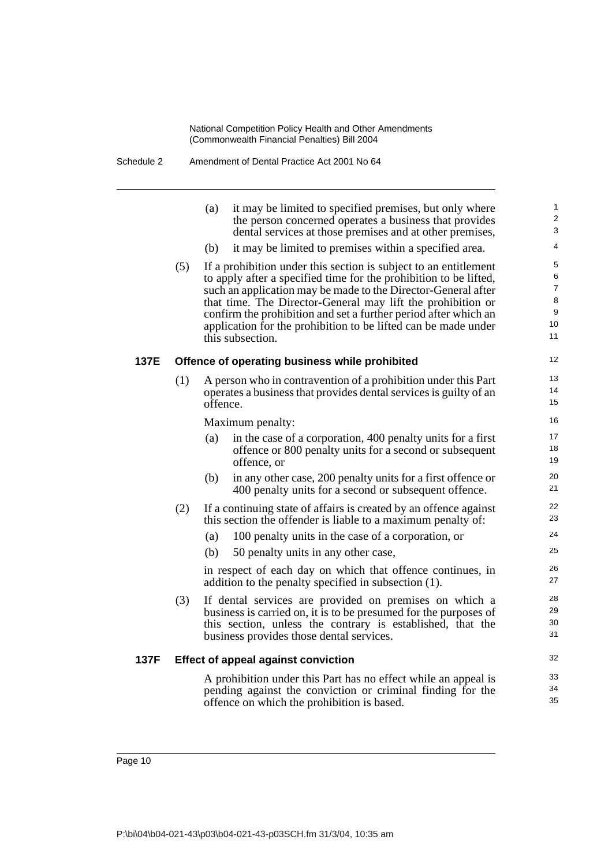|      |     | it may be limited to specified premises, but only where<br>(a)<br>the person concerned operates a business that provides              | $\mathbf{1}$<br>$\overline{2}$ |
|------|-----|---------------------------------------------------------------------------------------------------------------------------------------|--------------------------------|
|      |     | dental services at those premises and at other premises,                                                                              | 3                              |
|      |     | it may be limited to premises within a specified area.<br>(b)                                                                         | 4                              |
|      | (5) | If a prohibition under this section is subject to an entitlement<br>to apply after a specified time for the prohibition to be lifted, | 5<br>6                         |
|      |     | such an application may be made to the Director-General after                                                                         | $\overline{7}$                 |
|      |     | that time. The Director-General may lift the prohibition or                                                                           | $\bf8$                         |
|      |     | confirm the prohibition and set a further period after which an                                                                       | 9<br>10                        |
|      |     | application for the prohibition to be lifted can be made under<br>this subsection.                                                    | 11                             |
| 137E |     | Offence of operating business while prohibited                                                                                        | 12                             |
|      | (1) | A person who in contravention of a prohibition under this Part                                                                        | 13                             |
|      |     | operates a business that provides dental services is guilty of an                                                                     | 14                             |
|      |     | offence.                                                                                                                              | 15                             |
|      |     | Maximum penalty:                                                                                                                      | 16                             |
|      |     | in the case of a corporation, 400 penalty units for a first<br>(a)<br>offence or 800 penalty units for a second or subsequent         | 17<br>18                       |
|      |     | offence, or                                                                                                                           | 19                             |
|      |     | in any other case, 200 penalty units for a first offence or<br>(b)<br>400 penalty units for a second or subsequent offence.           | 20<br>21                       |
|      | (2) | If a continuing state of affairs is created by an offence against<br>this section the offender is liable to a maximum penalty of:     | 22<br>23                       |
|      |     | 100 penalty units in the case of a corporation, or<br>(a)                                                                             | 24                             |
|      |     | (b)<br>50 penalty units in any other case,                                                                                            | 25                             |
|      |     | in respect of each day on which that offence continues, in<br>addition to the penalty specified in subsection (1).                    | 26<br>27                       |
|      | (3) | If dental services are provided on premises on which a                                                                                | 28                             |
|      |     | business is carried on, it is to be presumed for the purposes of                                                                      | 29<br>30                       |
|      |     | this section, unless the contrary is established, that the<br>business provides those dental services.                                | 31                             |
| 137F |     | <b>Effect of appeal against conviction</b>                                                                                            | 32                             |
|      |     | A prohibition under this Part has no effect while an appeal is                                                                        | 33                             |
|      |     | pending against the conviction or criminal finding for the                                                                            | 34                             |
|      |     | offence on which the prohibition is based.                                                                                            | 35                             |
|      |     |                                                                                                                                       |                                |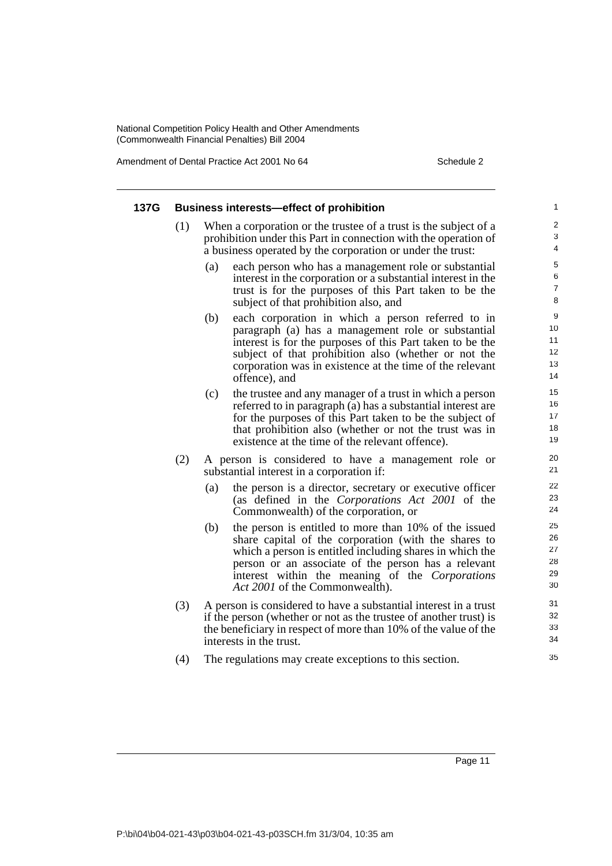Amendment of Dental Practice Act 2001 No 64 Schedule 2

| 137G |     | <b>Business interests-effect of prohibition</b>                                                                                                                                                                                                                                                                              | 1                                            |
|------|-----|------------------------------------------------------------------------------------------------------------------------------------------------------------------------------------------------------------------------------------------------------------------------------------------------------------------------------|----------------------------------------------|
|      | (1) | When a corporation or the trustee of a trust is the subject of a<br>prohibition under this Part in connection with the operation of<br>a business operated by the corporation or under the trust:                                                                                                                            | 2<br>3<br>$\overline{4}$                     |
|      |     | each person who has a management role or substantial<br>(a)<br>interest in the corporation or a substantial interest in the<br>trust is for the purposes of this Part taken to be the<br>subject of that prohibition also, and                                                                                               | $\,$ 5 $\,$<br>$\,6$<br>$\overline{7}$<br>8  |
|      |     | each corporation in which a person referred to in<br>(b)<br>paragraph (a) has a management role or substantial<br>interest is for the purposes of this Part taken to be the<br>subject of that prohibition also (whether or not the<br>corporation was in existence at the time of the relevant<br>offence), and             | 9<br>10<br>11<br>12 <sup>2</sup><br>13<br>14 |
|      |     | (c)<br>the trustee and any manager of a trust in which a person<br>referred to in paragraph (a) has a substantial interest are<br>for the purposes of this Part taken to be the subject of<br>that prohibition also (whether or not the trust was in<br>existence at the time of the relevant offence).                      | 15<br>16<br>17<br>18<br>19                   |
|      | (2) | A person is considered to have a management role or<br>substantial interest in a corporation if:                                                                                                                                                                                                                             | 20<br>21                                     |
|      |     | (a)<br>the person is a director, secretary or executive officer<br>(as defined in the <i>Corporations Act 2001</i> of the<br>Commonwealth) of the corporation, or                                                                                                                                                            | 22<br>23<br>24                               |
|      |     | the person is entitled to more than 10% of the issued<br>(b)<br>share capital of the corporation (with the shares to<br>which a person is entitled including shares in which the<br>person or an associate of the person has a relevant<br>interest within the meaning of the Corporations<br>Act 2001 of the Commonwealth). | 25<br>26<br>27<br>28<br>29<br>30             |
|      | (3) | A person is considered to have a substantial interest in a trust<br>if the person (whether or not as the trustee of another trust) is<br>the beneficiary in respect of more than 10% of the value of the<br>interests in the trust.                                                                                          | 31<br>32<br>33<br>34                         |
|      | (4) | The regulations may create exceptions to this section.                                                                                                                                                                                                                                                                       | 35                                           |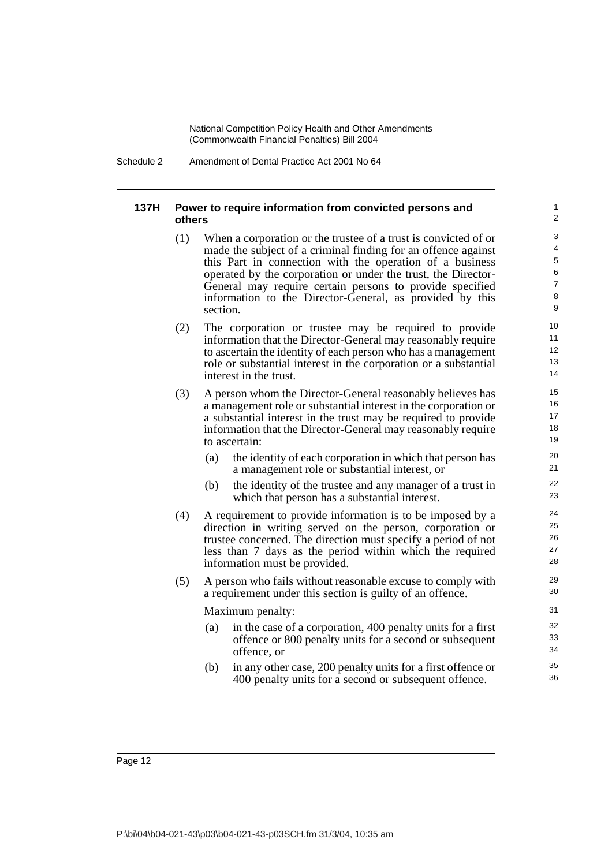Schedule 2 Amendment of Dental Practice Act 2001 No 64

## **137H Power to require information from convicted persons and others**

(1) When a corporation or the trustee of a trust is convicted of or made the subject of a criminal finding for an offence against this Part in connection with the operation of a business operated by the corporation or under the trust, the Director-General may require certain persons to provide specified information to the Director-General, as provided by this section.

- (2) The corporation or trustee may be required to provide information that the Director-General may reasonably require to ascertain the identity of each person who has a management role or substantial interest in the corporation or a substantial interest in the trust.
- (3) A person whom the Director-General reasonably believes has a management role or substantial interest in the corporation or a substantial interest in the trust may be required to provide information that the Director-General may reasonably require to ascertain:
	- (a) the identity of each corporation in which that person has a management role or substantial interest, or
	- (b) the identity of the trustee and any manager of a trust in which that person has a substantial interest.
- (4) A requirement to provide information is to be imposed by a direction in writing served on the person, corporation or trustee concerned. The direction must specify a period of not less than 7 days as the period within which the required information must be provided.
- (5) A person who fails without reasonable excuse to comply with a requirement under this section is guilty of an offence.

Maximum penalty:

- (a) in the case of a corporation, 400 penalty units for a first offence or 800 penalty units for a second or subsequent offence, or
- (b) in any other case, 200 penalty units for a first offence or 400 penalty units for a second or subsequent offence.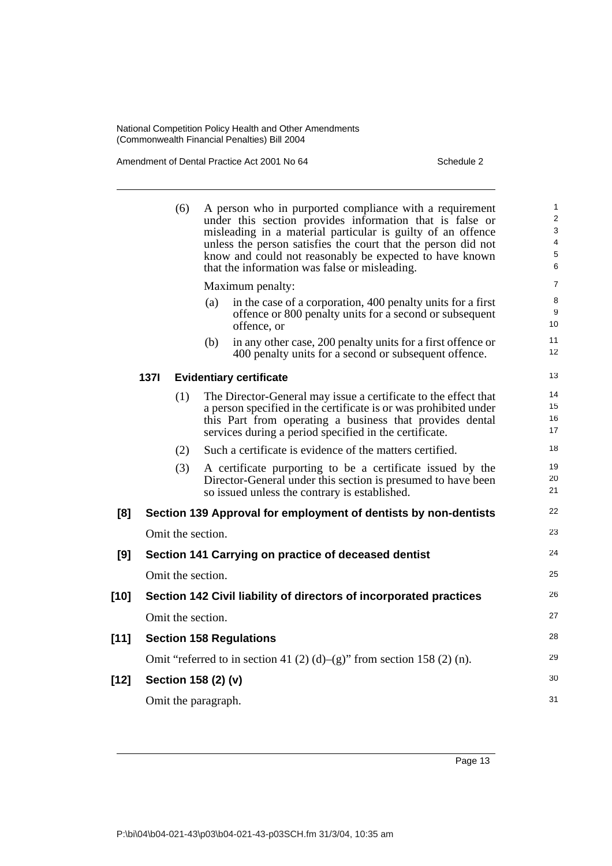Amendment of Dental Practice Act 2001 No 64 Schedule 2

|        |             | (6) |                     | A person who in purported compliance with a requirement<br>under this section provides information that is false or<br>misleading in a material particular is guilty of an offence<br>unless the person satisfies the court that the person did not<br>know and could not reasonably be expected to have known<br>that the information was false or misleading. | $\mathbf{1}$<br>$\overline{2}$<br>3<br>$\overline{4}$<br>5<br>6 |
|--------|-------------|-----|---------------------|-----------------------------------------------------------------------------------------------------------------------------------------------------------------------------------------------------------------------------------------------------------------------------------------------------------------------------------------------------------------|-----------------------------------------------------------------|
|        |             |     |                     | Maximum penalty:                                                                                                                                                                                                                                                                                                                                                | $\overline{7}$                                                  |
|        |             |     | (a)                 | in the case of a corporation, 400 penalty units for a first<br>offence or 800 penalty units for a second or subsequent<br>offence, or                                                                                                                                                                                                                           | 8<br>9<br>10                                                    |
|        |             |     | (b)                 | in any other case, 200 penalty units for a first offence or<br>400 penalty units for a second or subsequent offence.                                                                                                                                                                                                                                            | 11<br>12 <sup>2</sup>                                           |
|        | <b>1371</b> |     |                     | <b>Evidentiary certificate</b>                                                                                                                                                                                                                                                                                                                                  | 13                                                              |
|        |             | (1) |                     | The Director-General may issue a certificate to the effect that<br>a person specified in the certificate is or was prohibited under<br>this Part from operating a business that provides dental<br>services during a period specified in the certificate.                                                                                                       | 14<br>15<br>16<br>17                                            |
|        |             | (2) |                     | Such a certificate is evidence of the matters certified.                                                                                                                                                                                                                                                                                                        | 18                                                              |
|        |             | (3) |                     | A certificate purporting to be a certificate issued by the<br>Director-General under this section is presumed to have been<br>so issued unless the contrary is established.                                                                                                                                                                                     | 19<br>20<br>21                                                  |
| [8]    |             |     |                     | Section 139 Approval for employment of dentists by non-dentists                                                                                                                                                                                                                                                                                                 | 22                                                              |
|        |             |     | Omit the section.   |                                                                                                                                                                                                                                                                                                                                                                 | 23                                                              |
| [9]    |             |     |                     | Section 141 Carrying on practice of deceased dentist                                                                                                                                                                                                                                                                                                            | 24                                                              |
|        |             |     | Omit the section.   |                                                                                                                                                                                                                                                                                                                                                                 | 25                                                              |
| $[10]$ |             |     |                     | Section 142 Civil liability of directors of incorporated practices                                                                                                                                                                                                                                                                                              | 26                                                              |
|        |             |     | Omit the section.   |                                                                                                                                                                                                                                                                                                                                                                 | 27                                                              |
| $[11]$ |             |     |                     | <b>Section 158 Regulations</b>                                                                                                                                                                                                                                                                                                                                  | 28                                                              |
|        |             |     |                     | Omit "referred to in section 41 (2) (d)–(g)" from section 158 (2) (n).                                                                                                                                                                                                                                                                                          | 29                                                              |
| $[12]$ |             |     | Section 158 (2) (v) |                                                                                                                                                                                                                                                                                                                                                                 | 30                                                              |
|        |             |     | Omit the paragraph. |                                                                                                                                                                                                                                                                                                                                                                 | 31                                                              |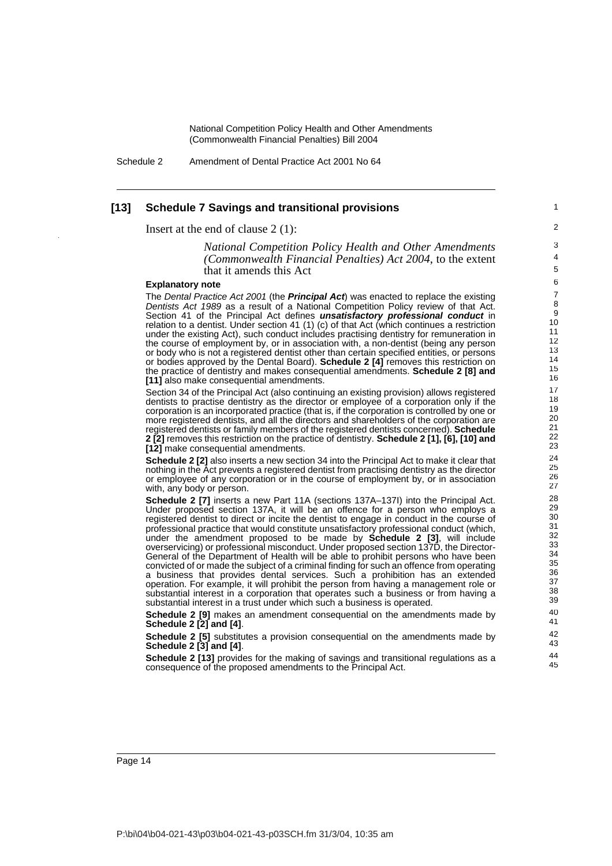Schedule 2 Amendment of Dental Practice Act 2001 No 64

## **[13] Schedule 7 Savings and transitional provisions**

1  $\overline{2}$ 

Insert at the end of clause 2 (1):

*National Competition Policy Health and Other Amendments (Commonwealth Financial Penalties) Act 2004*, to the extent that it amends this Act

#### **Explanatory note**

The *Dental Practice Act 2001* (the *Principal Act*) was enacted to replace the existing *Dentists Act 1989* as a result of a National Competition Policy review of that Act. Section 41 of the Principal Act defines *unsatisfactory professional conduct* in relation to a dentist. Under section 41 (1) (c) of that Act (which continues a restriction under the existing Act), such conduct includes practising dentistry for remuneration in the course of employment by, or in association with, a non-dentist (being any person or body who is not a registered dentist other than certain specified entities, or persons or bodies approved by the Dental Board). **Schedule 2 [4]** removes this restriction on the practice of dentistry and makes consequential amendments. **Schedule 2 [8] and [11]** also make consequential amendments.

Section 34 of the Principal Act (also continuing an existing provision) allows registered dentists to practise dentistry as the director or employee of a corporation only if the corporation is an incorporated practice (that is, if the corporation is controlled by one or more registered dentists, and all the directors and shareholders of the corporation are registered dentists or family members of the registered dentists concerned). **Schedule 2 [2]** removes this restriction on the practice of dentistry. **Schedule 2 [1], [6], [10] and [12]** make consequential amendments.

**Schedule 2 [2]** also inserts a new section 34 into the Principal Act to make it clear that nothing in the Act prevents a registered dentist from practising dentistry as the director or employee of any corporation or in the course of employment by, or in association with, any body or person.

**Schedule 2 [7]** inserts a new Part 11A (sections 137A-137I) into the Principal Act. Under proposed section 137A, it will be an offence for a person who employs a registered dentist to direct or incite the dentist to engage in conduct in the course of professional practice that would constitute unsatisfactory professional conduct (which, under the amendment proposed to be made by **Schedule 2 [3]**, will include overservicing) or professional misconduct. Under proposed section 137D, the Director-General of the Department of Health will be able to prohibit persons who have been convicted of or made the subject of a criminal finding for such an offence from operating a business that provides dental services. Such a prohibition has an extended operation. For example, it will prohibit the person from having a management role or substantial interest in a corporation that operates such a business or from having a substantial interest in a trust under which such a business is operated.

**Schedule 2 [9]** makes an amendment consequential on the amendments made by **Schedule 2 [2] and [4]**.

**Schedule 2 [5]** substitutes a provision consequential on the amendments made by **Schedule 2 [3] and [4]**.

**Schedule 2 [13]** provides for the making of savings and transitional regulations as a consequence of the proposed amendments to the Principal Act.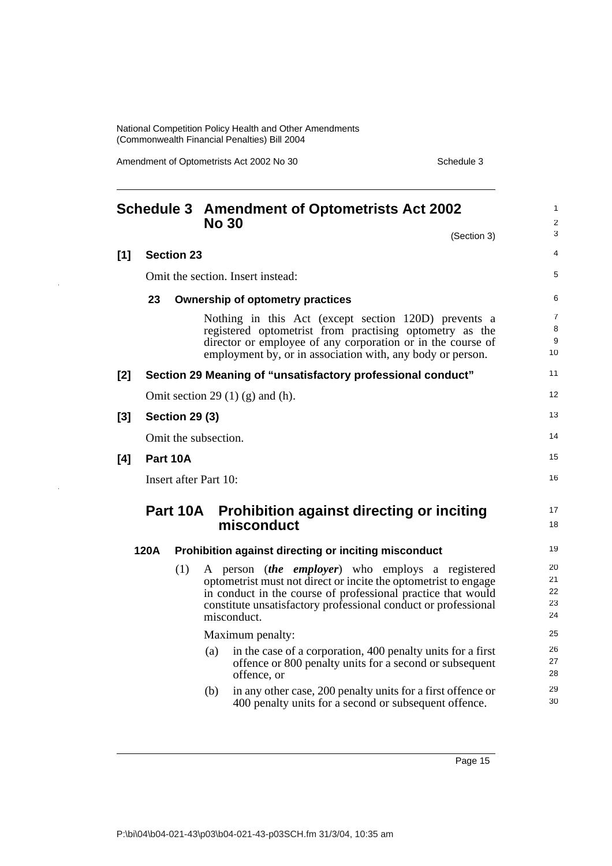Amendment of Optometrists Act 2002 No 30 Schedule 3

|       |                                   | <b>Schedule 3 Amendment of Optometrists Act 2002</b><br><b>No 30</b> |     | $\mathbf{1}$<br>$\overline{2}$                                                                                                                                                                                                                                              |                                |  |
|-------|-----------------------------------|----------------------------------------------------------------------|-----|-----------------------------------------------------------------------------------------------------------------------------------------------------------------------------------------------------------------------------------------------------------------------------|--------------------------------|--|
|       |                                   |                                                                      |     | (Section 3)                                                                                                                                                                                                                                                                 | 3                              |  |
| [1]   | <b>Section 23</b>                 |                                                                      |     |                                                                                                                                                                                                                                                                             |                                |  |
|       | Omit the section. Insert instead: |                                                                      |     |                                                                                                                                                                                                                                                                             |                                |  |
|       | 23                                |                                                                      |     | <b>Ownership of optometry practices</b>                                                                                                                                                                                                                                     | 6                              |  |
|       |                                   |                                                                      |     | Nothing in this Act (except section 120D) prevents a<br>registered optometrist from practising optometry as the<br>director or employee of any corporation or in the course of<br>employment by, or in association with, any body or person.                                | $\overline{7}$<br>8<br>9<br>10 |  |
| [2]   |                                   |                                                                      |     | Section 29 Meaning of "unsatisfactory professional conduct"                                                                                                                                                                                                                 | 11                             |  |
|       |                                   |                                                                      |     | Omit section 29 $(1)$ (g) and (h).                                                                                                                                                                                                                                          | 12                             |  |
| $[3]$ |                                   | <b>Section 29 (3)</b>                                                |     |                                                                                                                                                                                                                                                                             | 13                             |  |
|       |                                   | Omit the subsection.                                                 |     |                                                                                                                                                                                                                                                                             | 14                             |  |
| [4]   |                                   | Part 10A                                                             |     |                                                                                                                                                                                                                                                                             | 15                             |  |
|       |                                   | Insert after Part 10:                                                |     |                                                                                                                                                                                                                                                                             | 16                             |  |
|       |                                   | Part 10A                                                             |     | <b>Prohibition against directing or inciting</b><br>misconduct                                                                                                                                                                                                              | 17<br>18                       |  |
|       | 120A                              |                                                                      |     | Prohibition against directing or inciting misconduct                                                                                                                                                                                                                        | 19                             |  |
|       |                                   | (1)                                                                  |     | A person <i>(the employer)</i> who employs a registered<br>optometrist must not direct or incite the optometrist to engage<br>in conduct in the course of professional practice that would<br>constitute unsatisfactory professional conduct or professional<br>misconduct. | 20<br>21<br>22<br>23<br>24     |  |
|       |                                   |                                                                      |     | Maximum penalty:                                                                                                                                                                                                                                                            | 25                             |  |
|       |                                   |                                                                      | (a) | in the case of a corporation, 400 penalty units for a first<br>offence or 800 penalty units for a second or subsequent<br>offence, or                                                                                                                                       | 26<br>27<br>28                 |  |
|       |                                   |                                                                      | (b) | in any other case, 200 penalty units for a first offence or<br>400 penalty units for a second or subsequent offence.                                                                                                                                                        | 29<br>30                       |  |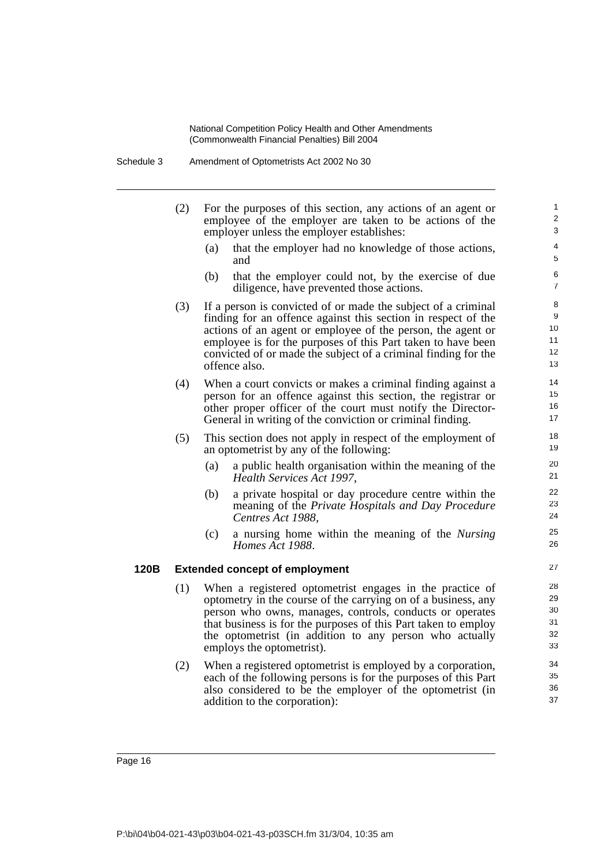- (2) For the purposes of this section, any actions of an agent or employee of the employer are taken to be actions of the employer unless the employer establishes:
	- (a) that the employer had no knowledge of those actions, and

- (b) that the employer could not, by the exercise of due diligence, have prevented those actions.
- (3) If a person is convicted of or made the subject of a criminal finding for an offence against this section in respect of the actions of an agent or employee of the person, the agent or employee is for the purposes of this Part taken to have been convicted of or made the subject of a criminal finding for the offence also.
- (4) When a court convicts or makes a criminal finding against a person for an offence against this section, the registrar or other proper officer of the court must notify the Director-General in writing of the conviction or criminal finding.
- (5) This section does not apply in respect of the employment of an optometrist by any of the following:
	- (a) a public health organisation within the meaning of the *Health Services Act 1997*,
	- (b) a private hospital or day procedure centre within the meaning of the *Private Hospitals and Day Procedure Centres Act 1988*,
	- (c) a nursing home within the meaning of the *Nursing Homes Act 1988*.

## **120B Extended concept of employment**

- (1) When a registered optometrist engages in the practice of optometry in the course of the carrying on of a business, any person who owns, manages, controls, conducts or operates that business is for the purposes of this Part taken to employ the optometrist (in addition to any person who actually employs the optometrist).
- (2) When a registered optometrist is employed by a corporation, each of the following persons is for the purposes of this Part also considered to be the employer of the optometrist (in addition to the corporation):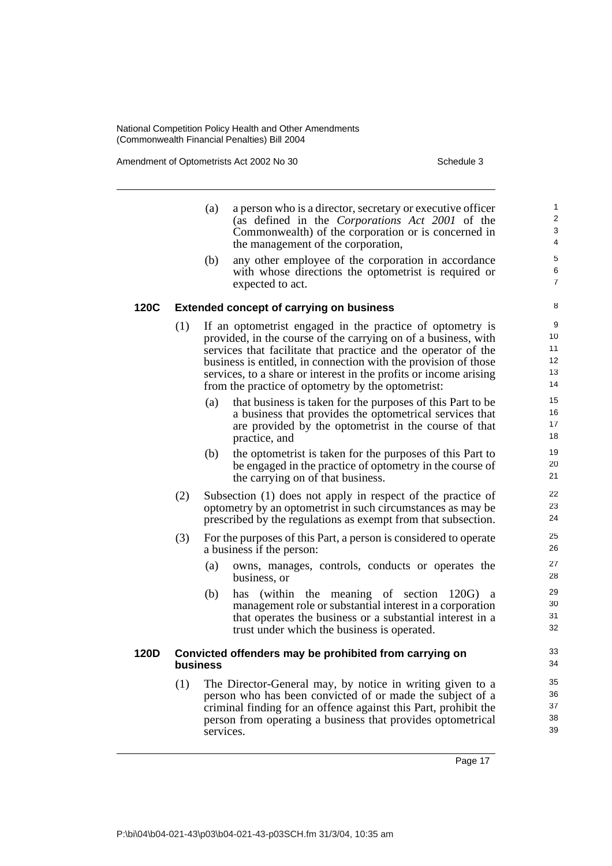Amendment of Optometrists Act 2002 No 30 Schedule 3

|      | (a) | a person who is a director, secretary or executive officer<br>(as defined in the Corporations Act 2001 of the<br>Commonwealth) of the corporation or is concerned in<br>the management of the corporation, |
|------|-----|------------------------------------------------------------------------------------------------------------------------------------------------------------------------------------------------------------|
|      | (b) | any other employee of the corporation in accordance<br>with whose directions the optometrist is required or<br>expected to act.                                                                            |
| 120C |     | <b>Extended concept of carrying on business</b>                                                                                                                                                            |

- (1) If an optometrist engaged in the practice of optometry is provided, in the course of the carrying on of a business, with services that facilitate that practice and the operator of the business is entitled, in connection with the provision of those services, to a share or interest in the profits or income arising from the practice of optometry by the optometrist:
	- (a) that business is taken for the purposes of this Part to be a business that provides the optometrical services that are provided by the optometrist in the course of that practice, and
	- (b) the optometrist is taken for the purposes of this Part to be engaged in the practice of optometry in the course of the carrying on of that business.
- (2) Subsection (1) does not apply in respect of the practice of optometry by an optometrist in such circumstances as may be prescribed by the regulations as exempt from that subsection.
- (3) For the purposes of this Part, a person is considered to operate a business if the person:
	- (a) owns, manages, controls, conducts or operates the business, or
	- (b) has (within the meaning of section 120G) a management role or substantial interest in a corporation that operates the business or a substantial interest in a trust under which the business is operated.

## **120D Convicted offenders may be prohibited from carrying on business**

(1) The Director-General may, by notice in writing given to a person who has been convicted of or made the subject of a criminal finding for an offence against this Part, prohibit the person from operating a business that provides optometrical services.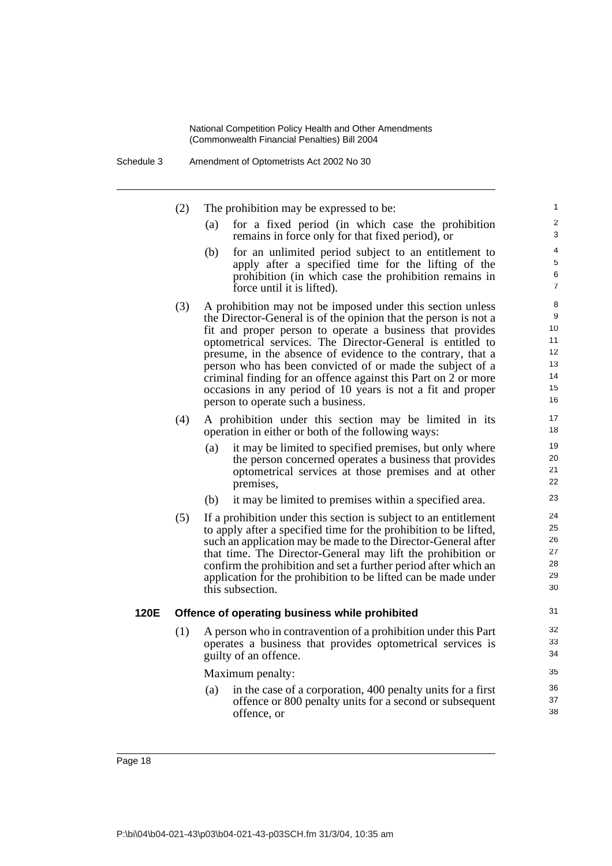- (2) The prohibition may be expressed to be:
	- (a) for a fixed period (in which case the prohibition remains in force only for that fixed period), or

- (b) for an unlimited period subject to an entitlement to apply after a specified time for the lifting of the prohibition (in which case the prohibition remains in force until it is lifted).
- (3) A prohibition may not be imposed under this section unless the Director-General is of the opinion that the person is not a fit and proper person to operate a business that provides optometrical services. The Director-General is entitled to presume, in the absence of evidence to the contrary, that a person who has been convicted of or made the subject of a criminal finding for an offence against this Part on 2 or more occasions in any period of 10 years is not a fit and proper person to operate such a business.
- (4) A prohibition under this section may be limited in its operation in either or both of the following ways:
	- (a) it may be limited to specified premises, but only where the person concerned operates a business that provides optometrical services at those premises and at other premises,
	- (b) it may be limited to premises within a specified area.
- (5) If a prohibition under this section is subject to an entitlement to apply after a specified time for the prohibition to be lifted, such an application may be made to the Director-General after that time. The Director-General may lift the prohibition or confirm the prohibition and set a further period after which an application for the prohibition to be lifted can be made under this subsection.

## **120E Offence of operating business while prohibited**

(1) A person who in contravention of a prohibition under this Part operates a business that provides optometrical services is guilty of an offence.

Maximum penalty:

(a) in the case of a corporation, 400 penalty units for a first offence or 800 penalty units for a second or subsequent offence, or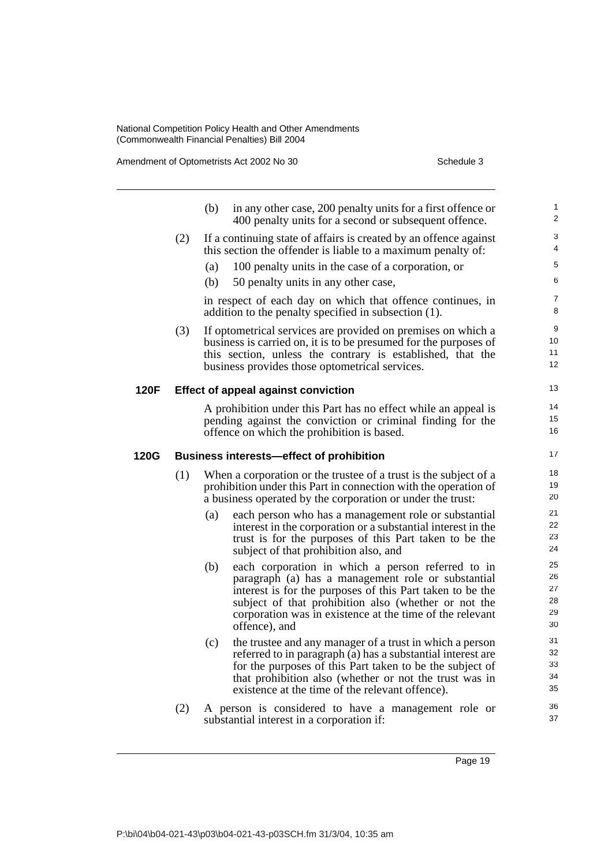Amendment of Optometrists Act 2002 No 30 Schedule 3

|             |     | (b)<br>in any other case, 200 penalty units for a first offence or<br>400 penalty units for a second or subsequent offence.                                                                                                                                                                                      | $\mathbf{1}$<br>2                |
|-------------|-----|------------------------------------------------------------------------------------------------------------------------------------------------------------------------------------------------------------------------------------------------------------------------------------------------------------------|----------------------------------|
|             | (2) | If a continuing state of affairs is created by an offence against<br>this section the offender is liable to a maximum penalty of:                                                                                                                                                                                | 3<br>4                           |
|             |     | 100 penalty units in the case of a corporation, or<br>(a)                                                                                                                                                                                                                                                        | $\mathbf 5$                      |
|             |     | (b)<br>50 penalty units in any other case,                                                                                                                                                                                                                                                                       | 6                                |
|             |     | in respect of each day on which that offence continues, in<br>addition to the penalty specified in subsection (1).                                                                                                                                                                                               | 7<br>8                           |
|             | (3) | If optometrical services are provided on premises on which a<br>business is carried on, it is to be presumed for the purposes of<br>this section, unless the contrary is established, that the<br>business provides those optometrical services.                                                                 | 9<br>10<br>11<br>12              |
| 120F        |     | <b>Effect of appeal against conviction</b>                                                                                                                                                                                                                                                                       | 13                               |
|             |     | A prohibition under this Part has no effect while an appeal is<br>pending against the conviction or criminal finding for the<br>offence on which the prohibition is based.                                                                                                                                       | 14<br>15<br>16                   |
| <b>120G</b> |     | <b>Business interests-effect of prohibition</b>                                                                                                                                                                                                                                                                  | 17                               |
|             | (1) | When a corporation or the trustee of a trust is the subject of a<br>prohibition under this Part in connection with the operation of<br>a business operated by the corporation or under the trust:                                                                                                                | 18<br>19<br>20                   |
|             |     | each person who has a management role or substantial<br>(a)<br>interest in the corporation or a substantial interest in the<br>trust is for the purposes of this Part taken to be the<br>subject of that prohibition also, and                                                                                   | 21<br>22<br>23<br>24             |
|             |     | each corporation in which a person referred to in<br>(b)<br>paragraph (a) has a management role or substantial<br>interest is for the purposes of this Part taken to be the<br>subject of that prohibition also (whether or not the<br>corporation was in existence at the time of the relevant<br>offence), and | 25<br>26<br>27<br>28<br>29<br>30 |
|             |     | the trustee and any manager of a trust in which a person<br>(c)<br>referred to in paragraph (a) has a substantial interest are<br>for the purposes of this Part taken to be the subject of<br>that prohibition also (whether or not the trust was in<br>existence at the time of the relevant offence).          | 31<br>32<br>33<br>34<br>35       |
|             | (2) | A person is considered to have a management role or<br>substantial interest in a corporation if:                                                                                                                                                                                                                 | 36<br>37                         |
|             |     |                                                                                                                                                                                                                                                                                                                  |                                  |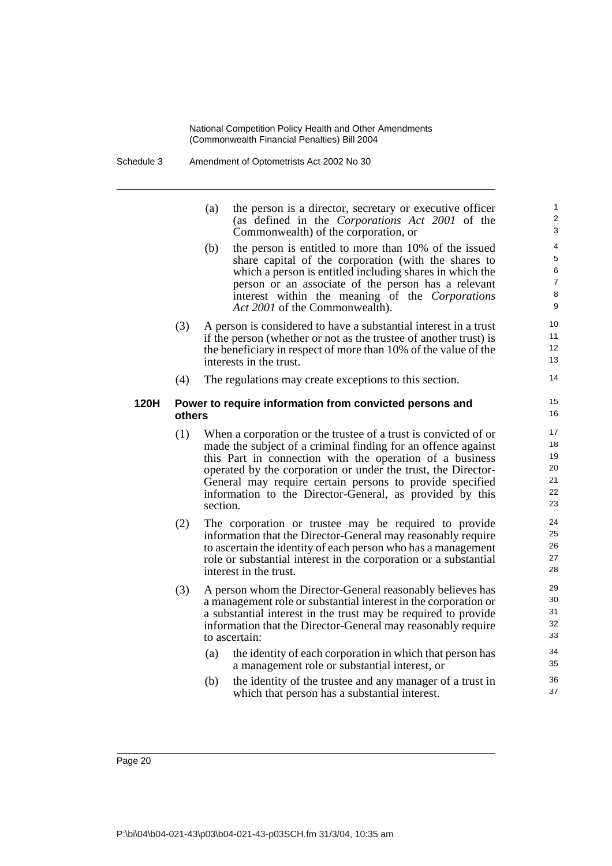| (a) | the person is a director, secretary or executive officer |
|-----|----------------------------------------------------------|
|     | (as defined in the <i>Corporations Act 2001</i> of the   |
|     | Commonwealth) of the corporation, or                     |

- (b) the person is entitled to more than 10% of the issued share capital of the corporation (with the shares to which a person is entitled including shares in which the person or an associate of the person has a relevant interest within the meaning of the *Corporations Act 2001* of the Commonwealth).
- (3) A person is considered to have a substantial interest in a trust if the person (whether or not as the trustee of another trust) is the beneficiary in respect of more than 10% of the value of the interests in the trust.
- (4) The regulations may create exceptions to this section.

## **120H Power to require information from convicted persons and others**

- (1) When a corporation or the trustee of a trust is convicted of or made the subject of a criminal finding for an offence against this Part in connection with the operation of a business operated by the corporation or under the trust, the Director-General may require certain persons to provide specified information to the Director-General, as provided by this section.
- (2) The corporation or trustee may be required to provide information that the Director-General may reasonably require to ascertain the identity of each person who has a management role or substantial interest in the corporation or a substantial interest in the trust.
- (3) A person whom the Director-General reasonably believes has a management role or substantial interest in the corporation or a substantial interest in the trust may be required to provide information that the Director-General may reasonably require to ascertain:
	- (a) the identity of each corporation in which that person has a management role or substantial interest, or
	- (b) the identity of the trustee and any manager of a trust in which that person has a substantial interest.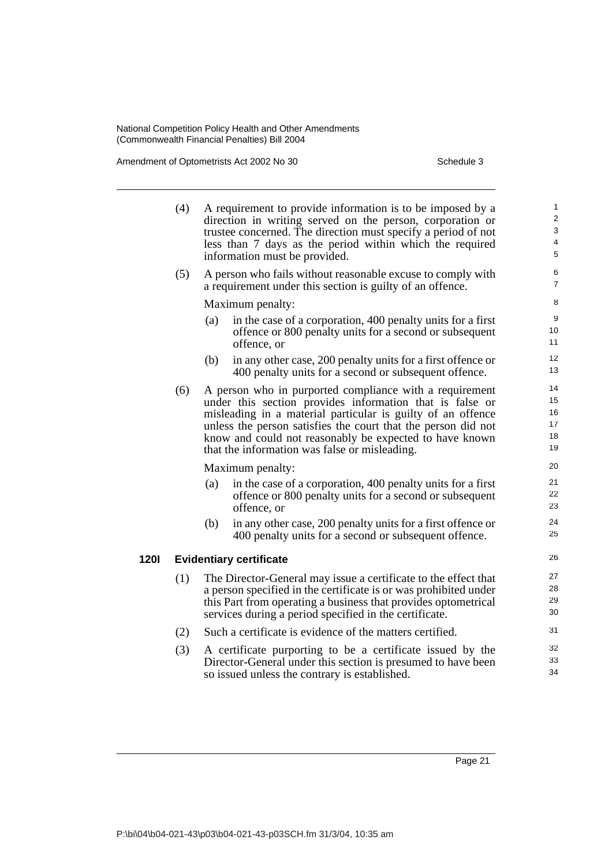Amendment of Optometrists Act 2002 No 30 Schedule 3

|             | (4) | A requirement to provide information is to be imposed by a<br>direction in writing served on the person, corporation or<br>trustee concerned. The direction must specify a period of not<br>less than 7 days as the period within which the required<br>information must be provided.                                                                           | 1<br>2<br>$\mathbf{3}$<br>4<br>5 |  |  |  |
|-------------|-----|-----------------------------------------------------------------------------------------------------------------------------------------------------------------------------------------------------------------------------------------------------------------------------------------------------------------------------------------------------------------|----------------------------------|--|--|--|
|             | (5) | A person who fails without reasonable excuse to comply with<br>a requirement under this section is guilty of an offence.                                                                                                                                                                                                                                        | 6<br>$\overline{7}$              |  |  |  |
|             |     | Maximum penalty:                                                                                                                                                                                                                                                                                                                                                | 8                                |  |  |  |
|             |     | in the case of a corporation, 400 penalty units for a first<br>(a)<br>offence or 800 penalty units for a second or subsequent<br>offence, or                                                                                                                                                                                                                    | 9<br>10<br>11                    |  |  |  |
|             |     | in any other case, 200 penalty units for a first offence or<br>(b)<br>400 penalty units for a second or subsequent offence.                                                                                                                                                                                                                                     | 12<br>13                         |  |  |  |
|             | (6) | A person who in purported compliance with a requirement<br>under this section provides information that is false or<br>misleading in a material particular is guilty of an offence<br>unless the person satisfies the court that the person did not<br>know and could not reasonably be expected to have known<br>that the information was false or misleading. | 14<br>15<br>16<br>17<br>18<br>19 |  |  |  |
|             |     | Maximum penalty:                                                                                                                                                                                                                                                                                                                                                | 20                               |  |  |  |
|             |     | in the case of a corporation, 400 penalty units for a first<br>(a)<br>offence or 800 penalty units for a second or subsequent<br>offence, or                                                                                                                                                                                                                    | 21<br>22<br>23                   |  |  |  |
|             |     | in any other case, 200 penalty units for a first offence or<br>(b)<br>400 penalty units for a second or subsequent offence.                                                                                                                                                                                                                                     | 24<br>25                         |  |  |  |
| <b>1201</b> |     | <b>Evidentiary certificate</b>                                                                                                                                                                                                                                                                                                                                  | 26                               |  |  |  |
|             | (1) | The Director-General may issue a certificate to the effect that<br>a person specified in the certificate is or was prohibited under<br>this Part from operating a business that provides optometrical<br>services during a period specified in the certificate.                                                                                                 |                                  |  |  |  |
|             | (2) | Such a certificate is evidence of the matters certified.                                                                                                                                                                                                                                                                                                        | 31                               |  |  |  |
|             | (3) | A certificate purporting to be a certificate issued by the<br>Director-General under this section is presumed to have been<br>so issued unless the contrary is established.                                                                                                                                                                                     | 32<br>33<br>34                   |  |  |  |
|             |     |                                                                                                                                                                                                                                                                                                                                                                 |                                  |  |  |  |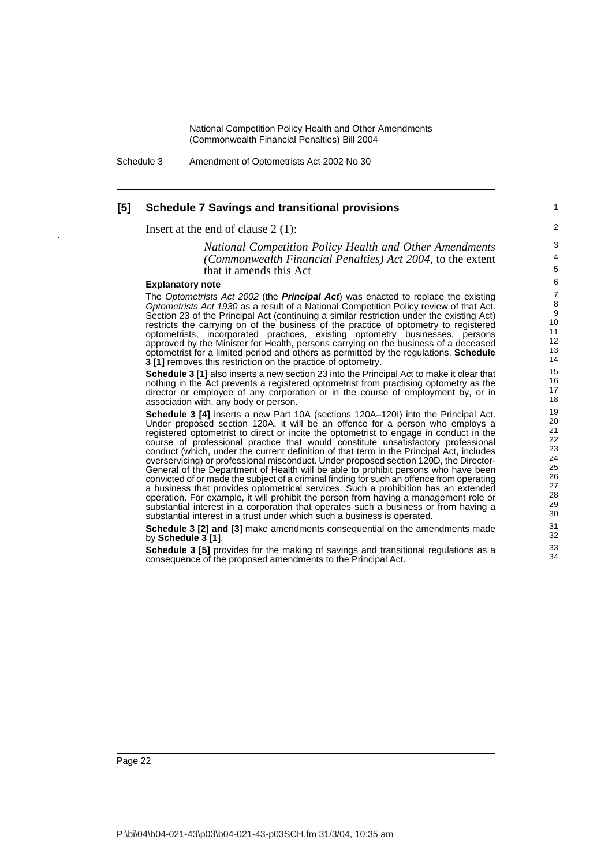Schedule 3 Amendment of Optometrists Act 2002 No 30

## **[5] Schedule 7 Savings and transitional provisions**

Insert at the end of clause 2 (1):

*National Competition Policy Health and Other Amendments (Commonwealth Financial Penalties) Act 2004*, to the extent that it amends this Act

#### **Explanatory note**

The *Optometrists Act 2002* (the *Principal Act*) was enacted to replace the existing *Optometrists Act 1930* as a result of a National Competition Policy review of that Act. Section 23 of the Principal Act (continuing a similar restriction under the existing Act) restricts the carrying on of the business of the practice of optometry to registered optometrists, incorporated practices, existing optometry businesses, persons approved by the Minister for Health, persons carrying on the business of a deceased optometrist for a limited period and others as permitted by the regulations. **Schedule 3 [1]** removes this restriction on the practice of optometry.

**Schedule 3 [1]** also inserts a new section 23 into the Principal Act to make it clear that nothing in the Act prevents a registered optometrist from practising optometry as the director or employee of any corporation or in the course of employment by, or in association with, any body or person.

**Schedule 3 [4]** inserts a new Part 10A (sections 120A–120I) into the Principal Act. Under proposed section 120A, it will be an offence for a person who employs a registered optometrist to direct or incite the optometrist to engage in conduct in the course of professional practice that would constitute unsatisfactory professional conduct (which, under the current definition of that term in the Principal Act, includes overservicing) or professional misconduct. Under proposed section 120D, the Director-General of the Department of Health will be able to prohibit persons who have been convicted of or made the subject of a criminal finding for such an offence from operating a business that provides optometrical services. Such a prohibition has an extended operation. For example, it will prohibit the person from having a management role or substantial interest in a corporation that operates such a business or from having a substantial interest in a trust under which such a business is operated.

**Schedule 3 [2] and [3]** make amendments consequential on the amendments made by **Schedule 3 [1]**.

**Schedule 3 [5]** provides for the making of savings and transitional regulations as a consequence of the proposed amendments to the Principal Act.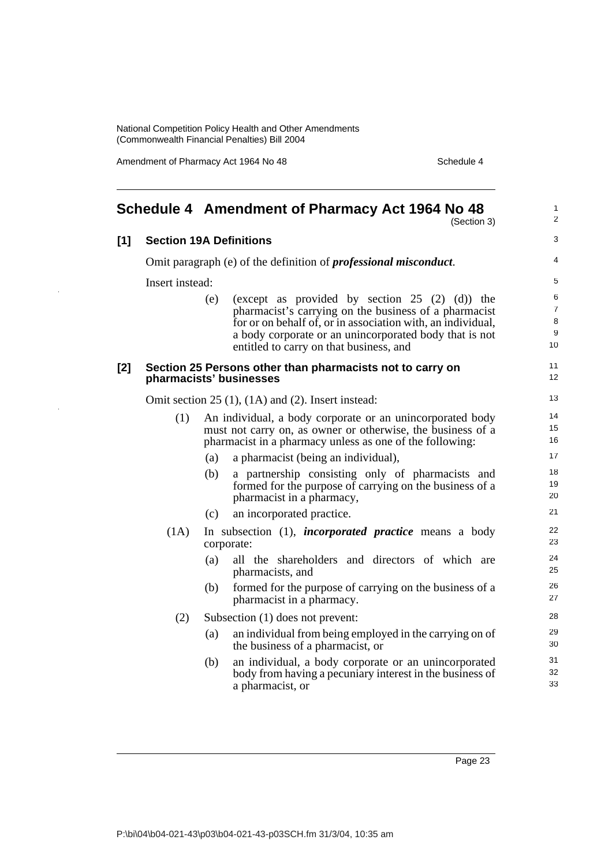Amendment of Pharmacy Act 1964 No 48 Schedule 4

|       |                                |     | Schedule 4 Amendment of Pharmacy Act 1964 No 48<br>(Section 3)                                                                                                                                                                                                                | 1<br>2                              |
|-------|--------------------------------|-----|-------------------------------------------------------------------------------------------------------------------------------------------------------------------------------------------------------------------------------------------------------------------------------|-------------------------------------|
| $[1]$ | <b>Section 19A Definitions</b> |     |                                                                                                                                                                                                                                                                               | 3                                   |
|       |                                |     | Omit paragraph (e) of the definition of <i>professional misconduct</i> .                                                                                                                                                                                                      | $\overline{4}$                      |
|       | Insert instead:                |     |                                                                                                                                                                                                                                                                               | 5                                   |
|       |                                | (e) | (except as provided by section $25$ (2) (d)) the<br>pharmacist's carrying on the business of a pharmacist<br>for or on behalf of, or in association with, an individual,<br>a body corporate or an unincorporated body that is not<br>entitled to carry on that business, and | 6<br>$\overline{7}$<br>8<br>9<br>10 |
| [2]   |                                |     | Section 25 Persons other than pharmacists not to carry on<br>pharmacists' businesses                                                                                                                                                                                          | 11<br>12                            |
|       |                                |     | Omit section $25(1)$ , $(1A)$ and $(2)$ . Insert instead:                                                                                                                                                                                                                     | 13                                  |
|       | (1)                            |     | An individual, a body corporate or an unincorporated body<br>must not carry on, as owner or otherwise, the business of a<br>pharmacist in a pharmacy unless as one of the following:                                                                                          | 14<br>15<br>16                      |
|       |                                | (a) | a pharmacist (being an individual),                                                                                                                                                                                                                                           | 17                                  |
|       |                                | (b) | a partnership consisting only of pharmacists and<br>formed for the purpose of carrying on the business of a<br>pharmacist in a pharmacy,                                                                                                                                      | 18<br>19<br>20                      |
|       |                                | (c) | an incorporated practice.                                                                                                                                                                                                                                                     | 21                                  |
|       | (1A)                           |     | In subsection $(1)$ , <i>incorporated practice</i> means a body<br>corporate:                                                                                                                                                                                                 | 22<br>23                            |
|       |                                | (a) | all the shareholders and directors of which are<br>pharmacists, and                                                                                                                                                                                                           | 24<br>25                            |
|       |                                | (b) | formed for the purpose of carrying on the business of a<br>pharmacist in a pharmacy.                                                                                                                                                                                          | 26<br>27                            |
|       | (2)                            |     | Subsection (1) does not prevent:                                                                                                                                                                                                                                              | 28                                  |
|       |                                | (a) | an individual from being employed in the carrying on of<br>the business of a pharmacist, or                                                                                                                                                                                   | 29<br>30                            |
|       |                                | (b) | an individual, a body corporate or an unincorporated<br>body from having a pecuniary interest in the business of<br>a pharmacist, or                                                                                                                                          | 31<br>32<br>33                      |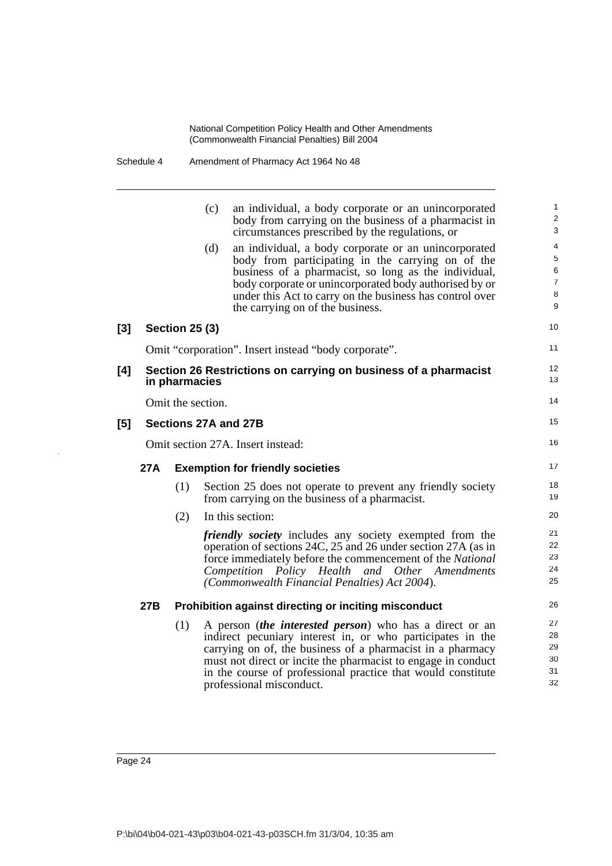|     |                                                |                       | (c)<br>an individual, a body corporate or an unincorporated<br>body from carrying on the business of a pharmacist in<br>circumstances prescribed by the regulations, or<br>(d)<br>an individual, a body corporate or an unincorporated<br>body from participating in the carrying on of the<br>business of a pharmacist, so long as the individual,<br>body corporate or unincorporated body authorised by or<br>under this Act to carry on the business has control over<br>the carrying on of the business. | $\mathbf{1}$<br>$\overline{2}$<br>3<br>4<br>$\,$ 5 $\,$<br>6<br>$\overline{7}$<br>8<br>9 |  |
|-----|------------------------------------------------|-----------------------|---------------------------------------------------------------------------------------------------------------------------------------------------------------------------------------------------------------------------------------------------------------------------------------------------------------------------------------------------------------------------------------------------------------------------------------------------------------------------------------------------------------|------------------------------------------------------------------------------------------|--|
| [3] |                                                | <b>Section 25 (3)</b> |                                                                                                                                                                                                                                                                                                                                                                                                                                                                                                               | 10                                                                                       |  |
|     |                                                |                       | Omit "corporation". Insert instead "body corporate".                                                                                                                                                                                                                                                                                                                                                                                                                                                          | 11                                                                                       |  |
| [4] |                                                | in pharmacies         | Section 26 Restrictions on carrying on business of a pharmacist                                                                                                                                                                                                                                                                                                                                                                                                                                               | 12<br>13                                                                                 |  |
|     |                                                |                       | Omit the section.                                                                                                                                                                                                                                                                                                                                                                                                                                                                                             | 14                                                                                       |  |
| [5] |                                                |                       | Sections 27A and 27B                                                                                                                                                                                                                                                                                                                                                                                                                                                                                          | 15                                                                                       |  |
|     | Omit section 27A. Insert instead:              |                       |                                                                                                                                                                                                                                                                                                                                                                                                                                                                                                               |                                                                                          |  |
|     | 27A<br><b>Exemption for friendly societies</b> |                       |                                                                                                                                                                                                                                                                                                                                                                                                                                                                                                               |                                                                                          |  |
|     |                                                | (1)                   | Section 25 does not operate to prevent any friendly society<br>from carrying on the business of a pharmacist.                                                                                                                                                                                                                                                                                                                                                                                                 | 18<br>19                                                                                 |  |
|     |                                                | (2)                   | In this section:                                                                                                                                                                                                                                                                                                                                                                                                                                                                                              | 20                                                                                       |  |
|     |                                                |                       | <i>friendly society</i> includes any society exempted from the<br>operation of sections 24C, 25 and 26 under section 27A (as in<br>force immediately before the commencement of the National<br>Competition Policy Health and<br>Other Amendments<br>(Commonwealth Financial Penalties) Act 2004).                                                                                                                                                                                                            | 21<br>22<br>23<br>24<br>25                                                               |  |
|     | <b>27B</b>                                     |                       | Prohibition against directing or inciting misconduct                                                                                                                                                                                                                                                                                                                                                                                                                                                          | 26                                                                                       |  |
|     |                                                | (1)                   | A person <i>(the interested person)</i> who has a direct or an<br>indirect pecuniary interest in, or who participates in the<br>carrying on of, the business of a pharmacist in a pharmacy<br>must not direct or incite the pharmacist to engage in conduct<br>in the course of professional practice that would constitute<br>professional misconduct                                                                                                                                                        | 27<br>28<br>29<br>30<br>31<br>32                                                         |  |

Page 24

professional misconduct.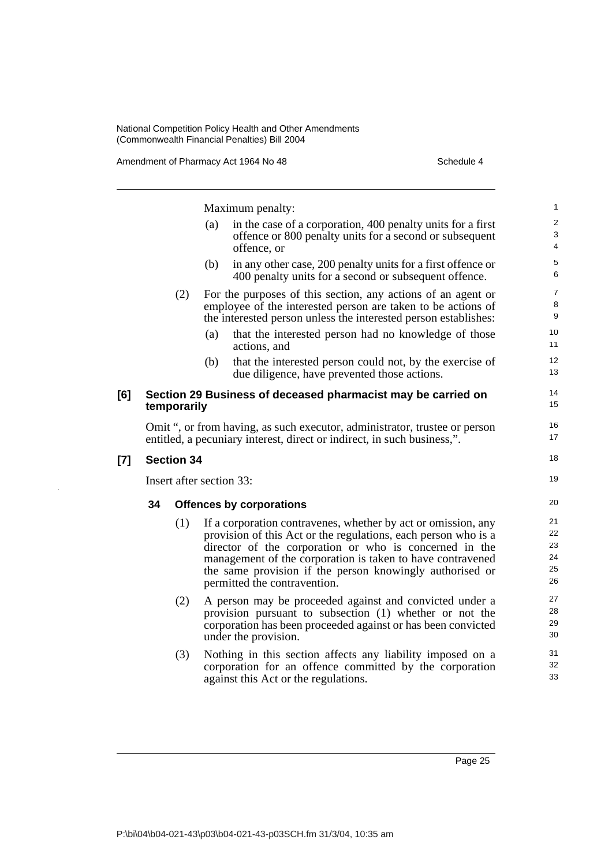Amendment of Pharmacy Act 1964 No 48 Schedule 4

|     |                          |                                 |     | Maximum penalty:                                                                                                                                                                                                                                                                                                                                    | 1                                 |
|-----|--------------------------|---------------------------------|-----|-----------------------------------------------------------------------------------------------------------------------------------------------------------------------------------------------------------------------------------------------------------------------------------------------------------------------------------------------------|-----------------------------------|
|     |                          |                                 | (a) | in the case of a corporation, 400 penalty units for a first<br>offence or 800 penalty units for a second or subsequent<br>offence, or                                                                                                                                                                                                               | $\overline{\mathbf{c}}$<br>3<br>4 |
|     |                          |                                 | (b) | in any other case, 200 penalty units for a first offence or<br>400 penalty units for a second or subsequent offence.                                                                                                                                                                                                                                | 5<br>6                            |
|     |                          | (2)                             |     | For the purposes of this section, any actions of an agent or<br>employee of the interested person are taken to be actions of<br>the interested person unless the interested person establishes:                                                                                                                                                     | 7<br>8<br>9                       |
|     |                          |                                 | (a) | that the interested person had no knowledge of those<br>actions, and                                                                                                                                                                                                                                                                                | 10<br>11                          |
|     |                          |                                 | (b) | that the interested person could not, by the exercise of<br>due diligence, have prevented those actions.                                                                                                                                                                                                                                            | 12<br>13                          |
| [6] |                          | temporarily                     |     | Section 29 Business of deceased pharmacist may be carried on                                                                                                                                                                                                                                                                                        | 14<br>15                          |
|     |                          |                                 |     | Omit ", or from having, as such executor, administrator, trustee or person<br>entitled, a pecuniary interest, direct or indirect, in such business,".                                                                                                                                                                                               | 16<br>17                          |
| [7] |                          | <b>Section 34</b>               |     |                                                                                                                                                                                                                                                                                                                                                     | 18                                |
|     | Insert after section 33: |                                 |     |                                                                                                                                                                                                                                                                                                                                                     | 19                                |
|     | 34                       | <b>Offences by corporations</b> |     |                                                                                                                                                                                                                                                                                                                                                     |                                   |
|     |                          | (1)                             |     | If a corporation contravenes, whether by act or omission, any<br>provision of this Act or the regulations, each person who is a<br>director of the corporation or who is concerned in the<br>management of the corporation is taken to have contravened<br>the same provision if the person knowingly authorised or<br>permitted the contravention. | 21<br>22<br>23<br>24<br>25<br>26  |
|     |                          | (2)                             |     | A person may be proceeded against and convicted under a<br>provision pursuant to subsection (1) whether or not the<br>corporation has been proceeded against or has been convicted<br>under the provision.                                                                                                                                          | 27<br>28<br>29<br>30              |
|     |                          | (3)                             |     | Nothing in this section affects any liability imposed on a<br>corporation for an offence committed by the corporation<br>against this Act or the regulations.                                                                                                                                                                                       | 31<br>32<br>33                    |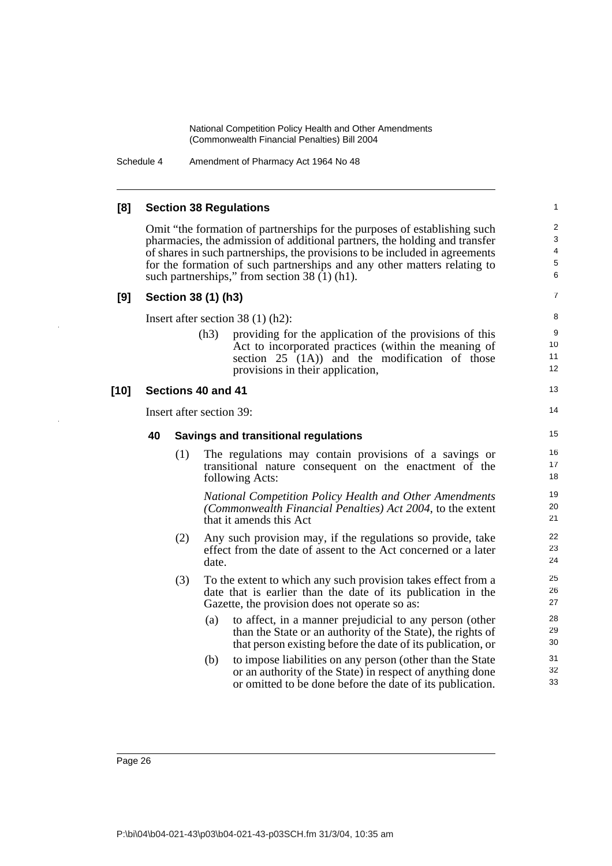Schedule 4 Amendment of Pharmacy Act 1964 No 48

#### **[8] Section 38 Regulations** Omit "the formation of partnerships for the purposes of establishing such pharmacies, the admission of additional partners, the holding and transfer of shares in such partnerships, the provisions to be included in agreements for the formation of such partnerships and any other matters relating to such partnerships," from section 38  $(1)$  (h1). **[9] Section 38 (1) (h3)** Insert after section 38 (1) (h2): (h3) providing for the application of the provisions of this Act to incorporated practices (within the meaning of section 25 (1A)) and the modification of those provisions in their application, **[10] Sections 40 and 41** Insert after section 39: **40 Savings and transitional regulations** (1) The regulations may contain provisions of a savings or transitional nature consequent on the enactment of the following Acts: *National Competition Policy Health and Other Amendments (Commonwealth Financial Penalties) Act 2004*, to the extent that it amends this Act (2) Any such provision may, if the regulations so provide, take effect from the date of assent to the Act concerned or a later date. (3) To the extent to which any such provision takes effect from a date that is earlier than the date of its publication in the Gazette, the provision does not operate so as: (a) to affect, in a manner prejudicial to any person (other than the State or an authority of the State), the rights of that person existing before the date of its publication, or (b) to impose liabilities on any person (other than the State or an authority of the State) in respect of anything done or omitted to be done before the date of its publication. 1  $\overline{2}$ 3 4 5 6 7 8 9 10 11 12 13 14 15 16 17 18 19 20 21 22 23 24 25 26 27 28 29 30 31 32 33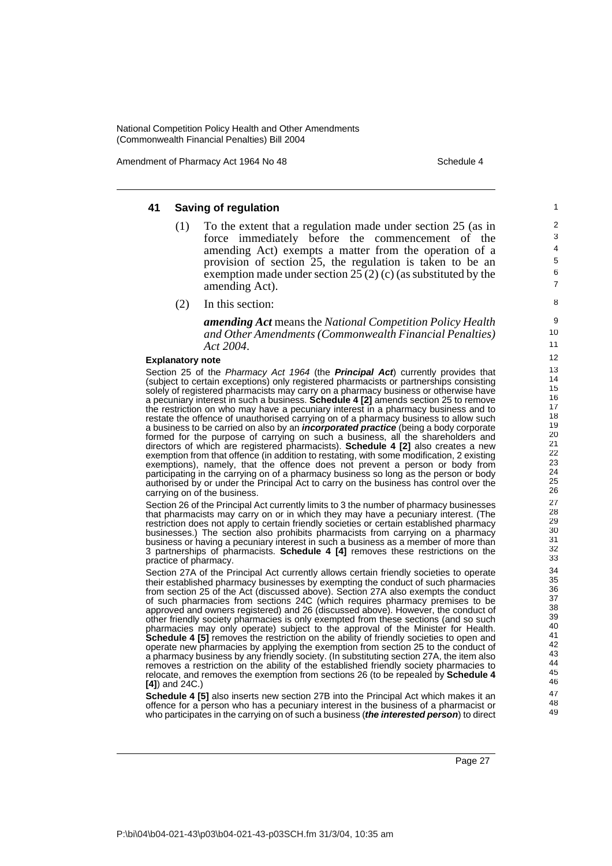Amendment of Pharmacy Act 1964 No 48 Schedule 4

Page 27

## **41 Saving of regulation**

(1) To the extent that a regulation made under section 25 (as in force immediately before the commencement of the amending Act) exempts a matter from the operation of a provision of section 25, the regulation is taken to be an exemption made under section 25 (2) (c) (as substituted by the amending Act).

(2) In this section:

*amending Act* means the *National Competition Policy Health and Other Amendments (Commonwealth Financial Penalties) Act 2004*.

### **Explanatory note**

Section 25 of the *Pharmacy Act 1964* (the *Principal Act*) currently provides that (subject to certain exceptions) only registered pharmacists or partnerships consisting solely of registered pharmacists may carry on a pharmacy business or otherwise have a pecuniary interest in such a business. **Schedule 4 [2]** amends section 25 to remove the restriction on who may have a pecuniary interest in a pharmacy business and to restate the offence of unauthorised carrying on of a pharmacy business to allow such a business to be carried on also by an *incorporated practice* (being a body corporate formed for the purpose of carrying on such a business, all the shareholders and directors of which are registered pharmacists). **Schedule 4 [2]** also creates a new exemption from that offence (in addition to restating, with some modification, 2 existing exemptions), namely, that the offence does not prevent a person or body from participating in the carrying on of a pharmacy business so long as the person or body authorised by or under the Principal Act to carry on the business has control over the carrying on of the business.

Section 26 of the Principal Act currently limits to 3 the number of pharmacy businesses that pharmacists may carry on or in which they may have a pecuniary interest. (The restriction does not apply to certain friendly societies or certain established pharmacy businesses.) The section also prohibits pharmacists from carrying on a pharmacy business or having a pecuniary interest in such a business as a member of more than 3 partnerships of pharmacists. **Schedule 4 [4]** removes these restrictions on the practice of pharmacy.

Section 27A of the Principal Act currently allows certain friendly societies to operate their established pharmacy businesses by exempting the conduct of such pharmacies from section 25 of the Act (discussed above). Section 27A also exempts the conduct of such pharmacies from sections 24C (which requires pharmacy premises to be approved and owners registered) and 26 (discussed above). However, the conduct of other friendly society pharmacies is only exempted from these sections (and so such pharmacies may only operate) subject to the approval of the Minister for Health. **Schedule 4 [5]** removes the restriction on the ability of friendly societies to open and operate new pharmacies by applying the exemption from section 25 to the conduct of a pharmacy business by any friendly society. (In substituting section 27A, the item also removes a restriction on the ability of the established friendly society pharmacies to relocate, and removes the exemption from sections 26 (to be repealed by **Schedule 4 [4]**) and 24C.)

**Schedule 4 [5]** also inserts new section 27B into the Principal Act which makes it an offence for a person who has a pecuniary interest in the business of a pharmacist or who participates in the carrying on of such a business (*the interested person*) to direct

1 2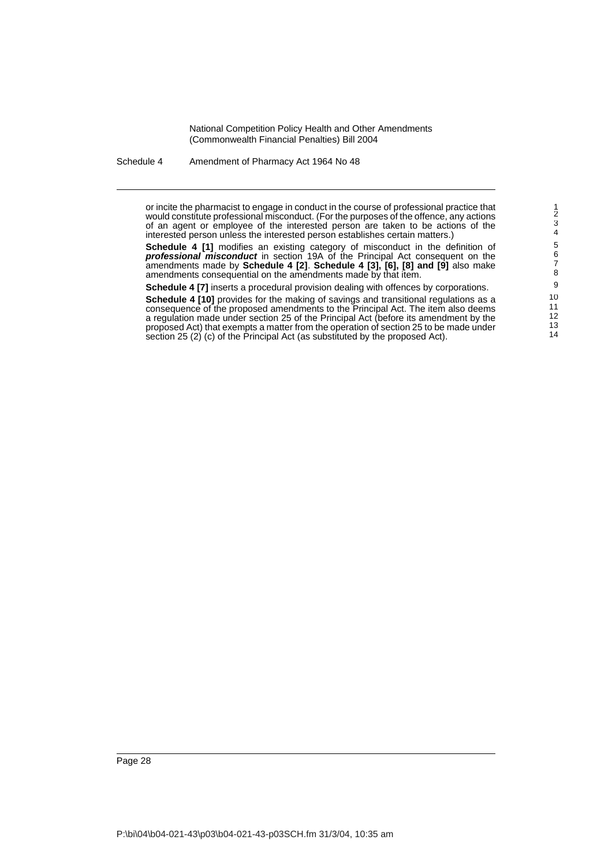Schedule 4 Amendment of Pharmacy Act 1964 No 48

or incite the pharmacist to engage in conduct in the course of professional practice that would constitute professional misconduct. (For the purposes of the offence, any actions of an agent or employee of the interested person are taken to be actions of the interested person unless the interested person establishes certain matters.)

**Schedule 4 [1]** modifies an existing category of misconduct in the definition of *professional misconduct* in section 19A of the Principal Act consequent on the amendments made by **Schedule 4 [2]**. **Schedule 4 [3], [6], [8] and [9]** also make amendments consequential on the amendments made by that item.

**Schedule 4 [7]** inserts a procedural provision dealing with offences by corporations.

**Schedule 4 [10]** provides for the making of savings and transitional regulations as a consequence of the proposed amendments to the Principal Act. The item also deems a regulation made under section 25 of the Principal Act (before its amendment by the proposed Act) that exempts a matter from the operation of section 25 to be made under section 25 (2) (c) of the Principal Act (as substituted by the proposed Act).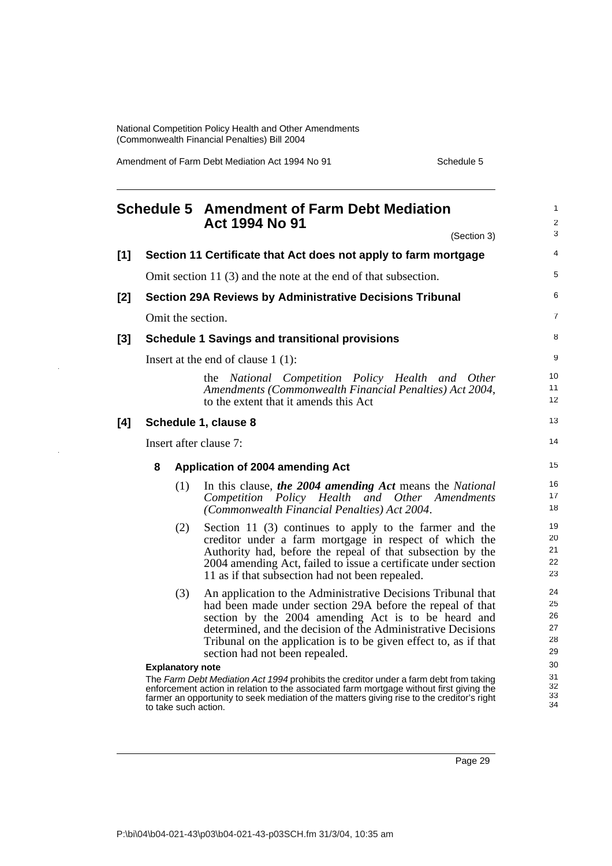Amendment of Farm Debt Mediation Act 1994 No 91 Schedule 5

|       | Schedule 5 Amendment of Farm Debt Mediation<br><b>Act 1994 No 91</b>                                                                                                                                                                                                                                   |                                                                                                                                                                                                                                                                                                                                                        |                                  |  |  |  |
|-------|--------------------------------------------------------------------------------------------------------------------------------------------------------------------------------------------------------------------------------------------------------------------------------------------------------|--------------------------------------------------------------------------------------------------------------------------------------------------------------------------------------------------------------------------------------------------------------------------------------------------------------------------------------------------------|----------------------------------|--|--|--|
|       |                                                                                                                                                                                                                                                                                                        | (Section 3)                                                                                                                                                                                                                                                                                                                                            | 3                                |  |  |  |
| $[1]$ |                                                                                                                                                                                                                                                                                                        | Section 11 Certificate that Act does not apply to farm mortgage                                                                                                                                                                                                                                                                                        | $\overline{4}$                   |  |  |  |
|       |                                                                                                                                                                                                                                                                                                        | Omit section 11 $(3)$ and the note at the end of that subsection.                                                                                                                                                                                                                                                                                      | 5                                |  |  |  |
| [2]   |                                                                                                                                                                                                                                                                                                        | <b>Section 29A Reviews by Administrative Decisions Tribunal</b>                                                                                                                                                                                                                                                                                        | 6                                |  |  |  |
|       | Omit the section.                                                                                                                                                                                                                                                                                      |                                                                                                                                                                                                                                                                                                                                                        | $\overline{7}$                   |  |  |  |
| [3]   |                                                                                                                                                                                                                                                                                                        | <b>Schedule 1 Savings and transitional provisions</b>                                                                                                                                                                                                                                                                                                  | 8                                |  |  |  |
|       |                                                                                                                                                                                                                                                                                                        | Insert at the end of clause $1(1)$ :                                                                                                                                                                                                                                                                                                                   | 9                                |  |  |  |
|       |                                                                                                                                                                                                                                                                                                        | the National Competition Policy Health and Other<br>Amendments (Commonwealth Financial Penalties) Act 2004,<br>to the extent that it amends this Act                                                                                                                                                                                                   | 10<br>11<br>12                   |  |  |  |
| [4]   |                                                                                                                                                                                                                                                                                                        | Schedule 1, clause 8                                                                                                                                                                                                                                                                                                                                   | 13                               |  |  |  |
|       | Insert after clause 7:                                                                                                                                                                                                                                                                                 |                                                                                                                                                                                                                                                                                                                                                        |                                  |  |  |  |
|       | 8<br>Application of 2004 amending Act                                                                                                                                                                                                                                                                  |                                                                                                                                                                                                                                                                                                                                                        |                                  |  |  |  |
|       | (1)                                                                                                                                                                                                                                                                                                    | In this clause, the 2004 amending Act means the National<br>Competition Policy Health and Other Amendments<br>(Commonwealth Financial Penalties) Act 2004.                                                                                                                                                                                             | 16<br>17<br>18                   |  |  |  |
|       | (2)                                                                                                                                                                                                                                                                                                    | Section 11 (3) continues to apply to the farmer and the<br>creditor under a farm mortgage in respect of which the<br>Authority had, before the repeal of that subsection by the<br>2004 amending Act, failed to issue a certificate under section<br>11 as if that subsection had not been repealed.                                                   | 19<br>20<br>21<br>22<br>23       |  |  |  |
|       | (3)                                                                                                                                                                                                                                                                                                    | An application to the Administrative Decisions Tribunal that<br>had been made under section 29A before the repeal of that<br>section by the 2004 amending Act is to be heard and<br>determined, and the decision of the Administrative Decisions<br>Tribunal on the application is to be given effect to, as if that<br>section had not been repealed. | 24<br>25<br>26<br>27<br>28<br>29 |  |  |  |
|       | <b>Explanatory note</b>                                                                                                                                                                                                                                                                                |                                                                                                                                                                                                                                                                                                                                                        | 30<br>31                         |  |  |  |
|       | The Farm Debt Mediation Act 1994 prohibits the creditor under a farm debt from taking<br>enforcement action in relation to the associated farm mortgage without first giving the<br>farmer an opportunity to seek mediation of the matters giving rise to the creditor's right<br>to take such action. |                                                                                                                                                                                                                                                                                                                                                        |                                  |  |  |  |